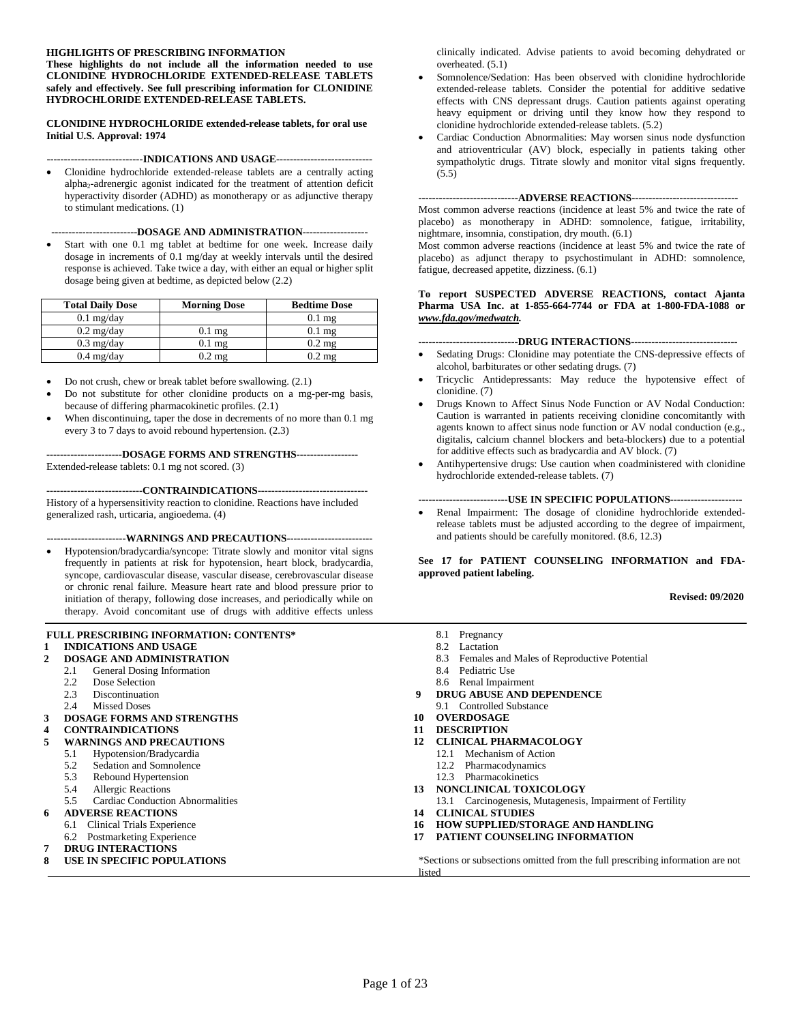#### **HIGHLIGHTS OF PRESCRIBING INFORMATION**

**These highlights do not include all the information needed to use CLONIDINE HYDROCHLORIDE EXTENDED-RELEASE TABLETS safely and effectively. See full prescribing information for CLONIDINE HYDROCHLORIDE EXTENDED-RELEASE TABLETS.** 

**CLONIDINE HYDROCHLORIDE extended-release tablets, for oral use Initial U.S. Approval: 1974**

#### **----------------------------INDICATIONS AND USAGE----------------------------**

• Clonidine hydrochloride extended-release tablets are a centrally acting alpha2-adrenergic agonist indicated for the treatment of attention deficit hyperactivity disorder (ADHD) as monotherapy or as adjunctive therapy to stimulant medications. [\(1\)](#page-1-0)

#### **-------------------------DOSAGE AND ADMINISTRATION-------------------**

Start with one 0.1 mg tablet at bedtime for one week. Increase daily dosage in increments of 0.1 mg/day at weekly intervals until the desired response is achieved. Take twice a day, with either an equal or higher split dosage being given at bedtime, as depicted below [\(2.2\)](#page-1-1)

| <b>Total Daily Dose</b> | <b>Morning Dose</b> | <b>Bedtime Dose</b> |
|-------------------------|---------------------|---------------------|
| $0.1$ mg/day            |                     | $0.1 \text{ mg}$    |
| $0.2 \text{ mg/day}$    | $0.1$ mg            | $0.1 \text{ mg}$    |
| $0.3 \text{ mg/day}$    | $0.1 \text{ mg}$    | $0.2 \text{ mg}$    |
| $0.4$ mg/day            | $0.2 \text{ mg}$    | $0.2 \text{ mg}$    |

- Do not crush, chew or break tablet before swallowing. [\(2.1\)](#page-1-2)
- Do not substitute for other clonidine products on a mg-per-mg basis, because of differing pharmacokinetic profiles. [\(2.1\)](#page-1-2)
- When discontinuing, taper the dose in decrements of no more than 0.1 mg every 3 to 7 days to avoid rebound hypertension. [\(2.3\)](#page-1-3)

**----------------------DOSAGE FORMS AND STRENGTHS------------------** Extended-release tablets: 0.1 mg not scored. [\(3\)](#page-2-0) 

**----------------------------CONTRAINDICATIONS--------------------------------** History of a hypersensitivity reaction to clonidine. Reactions have included generalized rash, urticaria, angioedema. [\(4\)](#page-2-1)

#### **-----------------------WARNINGS AND PRECAUTIONS-------------------------**

• Hypotension/bradycardia/syncope: Titrate slowly and monitor vital signs frequently in patients at risk for hypotension, heart block, bradycardia, syncope, cardiovascular disease, vascular disease, cerebrovascular disease or chronic renal failure. Measure heart rate and blood pressure prior to initiation of therapy, following dose increases, and periodically while on therapy. Avoid concomitant use of drugs with additive effects unless

#### **FULL PRESCRIBING INFORMATION: CONTENTS\***

#### **1 [INDICATIONS AND USAGE](#page-1-0)**

- **2 [DOSAGE AND ADMINISTRATION](#page-1-4)** 
	- 2.1 General Dosing Information<br>2.2 Dose Selection
		- [Dose Selection](#page-1-1)
		- 2.3 [Discontinuation](#page-1-5)
		- 2.4 [Missed Doses](#page-2-4)
- **3 [DOSAGE FORMS AND STRENGTHS](#page-2-0)**
- **4 [CONTRAINDICATIONS](#page-2-1)**
- **5 [WARNINGS AND PRECAUTIONS](#page-2-5)**
	- 5.1 [Hypotension/Bradycardia](#page-2-2)
		- 5.2 [Sedation and Somnolence](#page-2-6)
		- 5.3 [Rebound Hypertension](#page-3-1)
		- 5.4 [Allergic Reactions](#page-3-2)
		- 5.5 [Cardiac Conduction Abnormalities](#page-3-0)

#### **6 [ADVERSE REACTIONS](#page-3-3)**

- 6.1 [Clinical Trials Experience](#page-4-0)
- 6.2 [Postmarketing Experience](#page-8-1)
- **7 [DRUG INTERACTIONS](#page-8-0)**
- **8 [USE IN SPECIFIC POPULATIONS](#page-8-2)**

clinically indicated. Advise patients to avoid becoming dehydrated or overheated. [\(5.1\)](#page-2-2)

- Somnolence/Sedation: Has been observed with clonidine hydrochloride extended-release tablets. Consider the potential for additive sedative effects with CNS depressant drugs. Caution patients against operating heavy equipment or driving until they know how they respond to clonidine hydrochloride extended-release tablets. [\(5.2\)](#page-2-3)
- Cardiac Conduction Abnormalities: May worsen sinus node dysfunction and atrioventricular (AV) block, especially in patients taking other sympatholytic drugs. Titrate slowly and monitor vital signs frequently. [\(5.5\)](#page-3-0)

#### **-----------------------------ADVERSE REACTIONS-------------------------------**

Most common adverse reactions (incidence at least 5% and twice the rate of placebo) as monotherapy in ADHD: somnolence, fatigue, irritability, nightmare, insomnia, constipation, dry mouth. [\(6.1\)](#page-4-0)

Most common adverse reactions (incidence at least 5% and twice the rate of placebo) as adjunct therapy to psychostimulant in ADHD: somnolence, fatigue, decreased appetite, dizziness. [\(6.1\)](#page-4-0) 

#### **To report SUSPECTED ADVERSE REACTIONS, contact Ajanta Pharma USA Inc. at 1-855-664-7744 or FDA at 1-800-FDA-1088 or**  *[www.fda.gov/medwatch.](http://www.fda.gov/medwatch)*

#### **-----------------------------DRUG INTERACTIONS-------------------------------**

- Sedating Drugs: Clonidine may potentiate the CNS-depressive effects of alcohol, barbiturates or other sedating drugs. [\(7\)](#page-8-0)
- Tricyclic Antidepressants: May reduce the hypotensive effect of clonidine. [\(7\)](#page-8-0)
- Drugs Known to Affect Sinus Node Function or AV Nodal Conduction: Caution is warranted in patients receiving clonidine concomitantly with agents known to affect sinus node function or AV nodal conduction (e.g., digitalis, calcium channel blockers and beta-blockers) due to a potential for additive effects such as bradycardia and AV block. [\(7\)](#page-8-0)
- Antihypertensive drugs: Use caution when coadministered with clonidine hydrochloride extended-release tablets. [\(7\)](#page-8-0)

#### **--------------------------USE IN SPECIFIC POPULATIONS---------------------**

• Renal Impairment: The dosage of clonidine hydrochloride extendedrelease tablets must be adjusted according to the degree of impairment, and patients should be carefully monitored. [\(8.6](#page-11-0), [12.3](#page-12-0))

**See [17](#page-17-0) for PATIENT COUNSELING INFORMATION and FDAapproved patient labeling.** 

**Revised: 09/2020**

- 8.1 [Pregnancy](#page-8-3)
- 8.2 [Lactation](#page-9-0)
- 8.3 [Females and Males of Reproductive Potential](#page-10-0)
- 8.4 [Pediatric Use](#page-10-1)
- 8.6 [Renal Impairment](#page-11-0)
- **9 [DRUG ABUSE AND DEPENDENCE](#page-11-1)**
- 9.1 [Controlled Substance](#page-11-2)
- **10 [OVERDOSAGE](#page-11-3)**
- **11 [DESCRIPTION](#page-11-4)**
- **12 [CLINICAL PHARMACOLOGY](#page-12-1)** 
	- 12.1 [Mechanism of Action](#page-12-2)
	- 12.2 [Pharmacodynamics](#page-12-3)
	- 12.3 [Pharmacokinetics](#page-12-0)
- **13 [NONCLINICAL TOXICOLOGY](#page-14-0)**
- 13.1 [Carcinogenesis, Mutagenesis, Impairment of Fertility](#page-14-1)
- **14 [CLINICAL STUDIES](#page-14-2)**
- **16 [HOW SUPPLIED/STORAGE AND HANDLING](#page-17-1)**
- **17 [PATIENT COUNSELING INFORMATION](#page-17-0)**

\*Sections or subsections omitted from the full prescribing information are not listed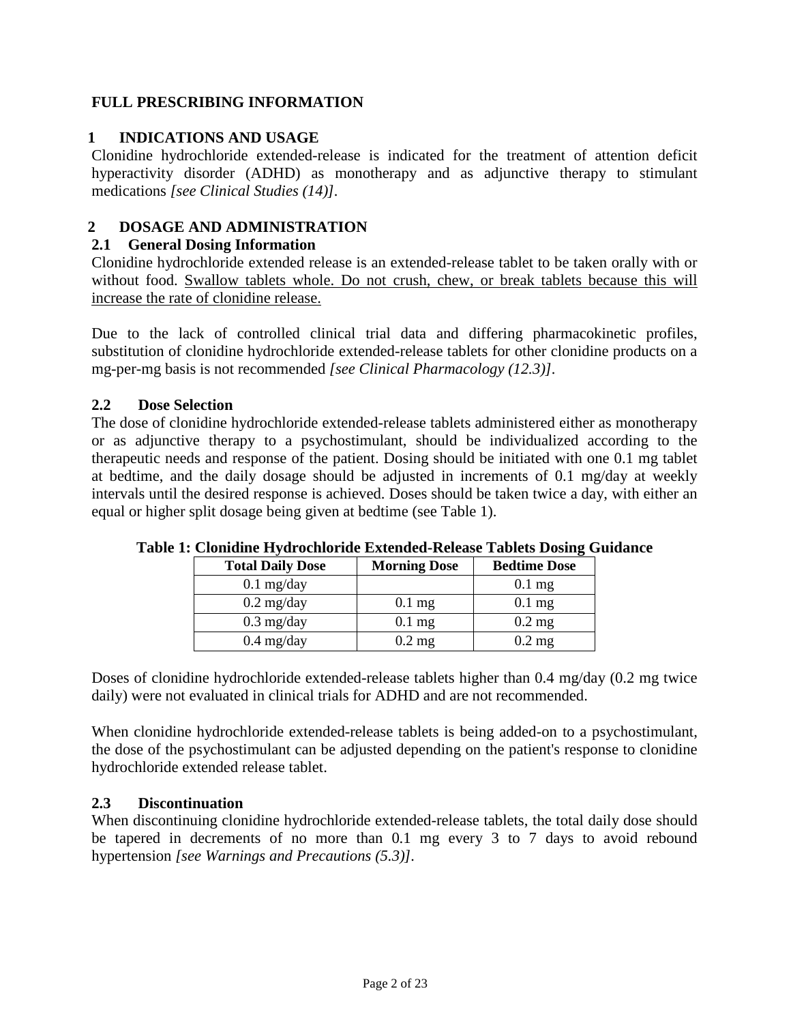# **FULL PRESCRIBING INFORMATION**

# <span id="page-1-6"></span><span id="page-1-0"></span>**1 INDICATIONS AND USAGE**

Clonidine hydrochloride extended-release is indicated for the treatment of attention deficit hyperactivity disorder (ADHD) as monotherapy and as adjunctive therapy to stimulant medications *[see Clinical Studies [\(14\)\]](#page-14-2).*

# <span id="page-1-4"></span><span id="page-1-2"></span>**2 DOSAGE AND ADMINISTRATION**

# **2.1 General Dosing Information**

Clonidine hydrochloride extended release is an extended-release tablet to be taken orally with or without food. Swallow tablets whole. Do not crush, chew, or break tablets because this will increase the rate of clonidine release.

Due to the lack of controlled clinical trial data and differing pharmacokinetic profiles, substitution of clonidine hydrochloride extended-release tablets for other clonidine products on a mg-per-mg basis is not recommended *[see Clinical Pharmacology [\(12.3\)\]](#page-12-0).* 

# <span id="page-1-1"></span>**2.2 Dose Selection**

<span id="page-1-5"></span>The dose of clonidine hydrochloride extended-release tablets administered either as monotherapy or as adjunctive therapy to a psychostimulant, should be individualized according to the therapeutic needs and response of the patient. Dosing should be initiated with one 0.1 mg tablet at bedtime, and the daily dosage should be adjusted in increments of 0.1 mg/day at weekly intervals until the desired response is achieved. Doses should be taken twice a day, with either an equal or higher split dosage being given at bedtime (see [Table 1\).](#page-1-6) 

| <b>Total Daily Dose</b> | <b>Morning Dose</b> | <b>Bedtime Dose</b> |
|-------------------------|---------------------|---------------------|
| $0.1$ mg/day            |                     | $0.1$ mg            |
| $0.2 \text{ mg/day}$    | $0.1$ mg            | $0.1$ mg            |
| $0.3 \text{ mg/day}$    | $0.1$ mg            | $0.2$ mg            |
| $0.4$ mg/day            | $0.2$ mg            | $0.2$ mg            |

# **Table 1: Clonidine Hydrochloride Extended-Release Tablets Dosing Guidance**

Doses of clonidine hydrochloride extended-release tablets higher than 0.4 mg/day (0.2 mg twice daily) were not evaluated in clinical trials for ADHD and are not recommended.

When clonidine hydrochloride extended-release tablets is being added-on to a psychostimulant, the dose of the psychostimulant can be adjusted depending on the patient's response to clonidine hydrochloride extended release tablet.

# <span id="page-1-3"></span>**2.3 Discontinuation**

When discontinuing clonidine hydrochloride extended-release tablets, the total daily dose should be tapered in decrements of no more than 0.1 mg every 3 to 7 days to avoid rebound hypertension *[see Warnings and Precautions [\(5.3\)\]](#page-3-1).*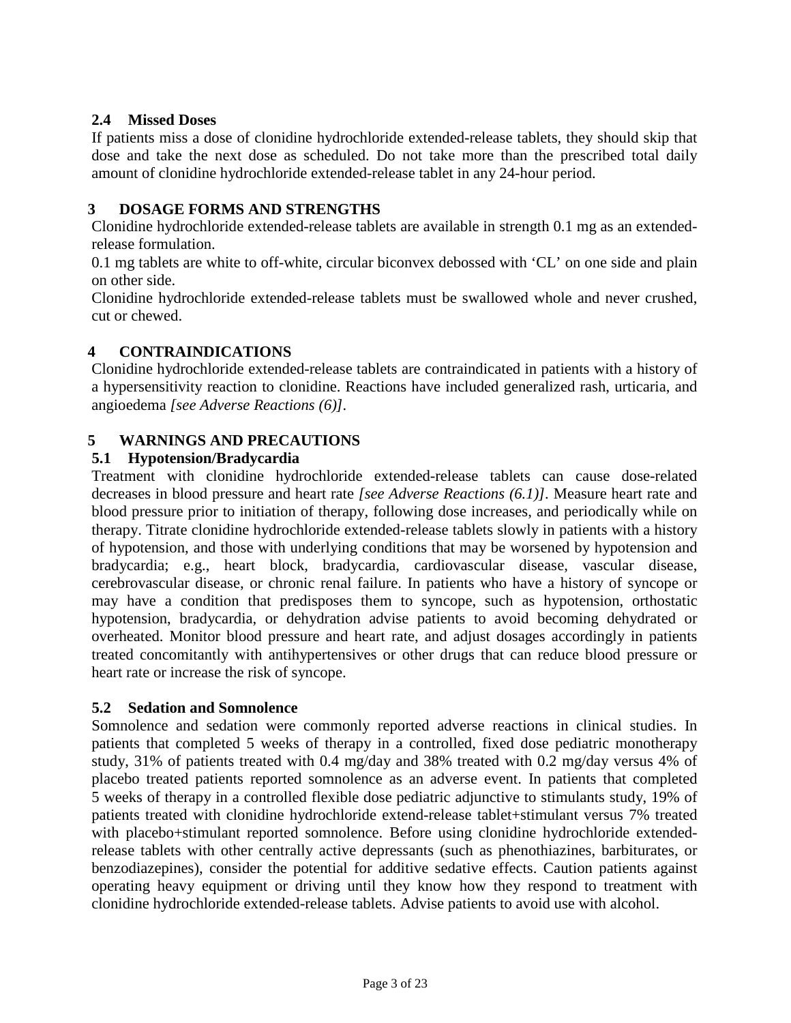# <span id="page-2-4"></span>**2.4 Missed Doses**

If patients miss a dose of clonidine hydrochloride extended-release tablets, they should skip that dose and take the next dose as scheduled. Do not take more than the prescribed total daily amount of clonidine hydrochloride extended-release tablet in any 24-hour period.

# <span id="page-2-0"></span>**3 DOSAGE FORMS AND STRENGTHS**

Clonidine hydrochloride extended-release tablets are available in strength 0.1 mg as an extendedrelease formulation.

0.1 mg tablets are white to off-white, circular biconvex debossed with 'CL' on one side and plain on other side.

Clonidine hydrochloride extended-release tablets must be swallowed whole and never crushed, cut or chewed.

# <span id="page-2-1"></span>**4 CONTRAINDICATIONS**

Clonidine hydrochloride extended-release tablets are contraindicated in patients with a history of a hypersensitivity reaction to clonidine. Reactions have included generalized rash, urticaria, and angioedema *[see Adverse Reactions [\(6\)\]](#page-3-3).* 

# <span id="page-2-5"></span><span id="page-2-2"></span>**5 WARNINGS AND PRECAUTIONS**

# **5.1 Hypotension/Bradycardia**

<span id="page-2-6"></span>Treatment with clonidine hydrochloride extended-release tablets can cause dose-related decreases in blood pressure and heart rate *[see Adverse Reactions [\(6.1](#page-4-0))].* Measure heart rate and blood pressure prior to initiation of therapy, following dose increases, and periodically while on therapy. Titrate clonidine hydrochloride extended-release tablets slowly in patients with a history of hypotension, and those with underlying conditions that may be worsened by hypotension and bradycardia; e.g., heart block, bradycardia, cardiovascular disease, vascular disease, cerebrovascular disease, or chronic renal failure. In patients who have a history of syncope or may have a condition that predisposes them to syncope, such as hypotension, orthostatic hypotension, bradycardia, or dehydration advise patients to avoid becoming dehydrated or overheated. Monitor blood pressure and heart rate, and adjust dosages accordingly in patients treated concomitantly with antihypertensives or other drugs that can reduce blood pressure or heart rate or increase the risk of syncope.

# **5.2 Sedation and Somnolence**

<span id="page-2-3"></span>Somnolence and sedation were commonly reported adverse reactions in clinical studies. In patients that completed 5 weeks of therapy in a controlled, fixed dose pediatric monotherapy study, 31% of patients treated with 0.4 mg/day and 38% treated with 0.2 mg/day versus 4% of placebo treated patients reported somnolence as an adverse event. In patients that completed 5 weeks of therapy in a controlled flexible dose pediatric adjunctive to stimulants study, 19% of patients treated with clonidine hydrochloride extend-release tablet+stimulant versus 7% treated with placebo+stimulant reported somnolence. Before using clonidine hydrochloride extendedrelease tablets with other centrally active depressants (such as phenothiazines, barbiturates, or benzodiazepines), consider the potential for additive sedative effects. Caution patients against operating heavy equipment or driving until they know how they respond to treatment with clonidine hydrochloride extended-release tablets. Advise patients to avoid use with alcohol.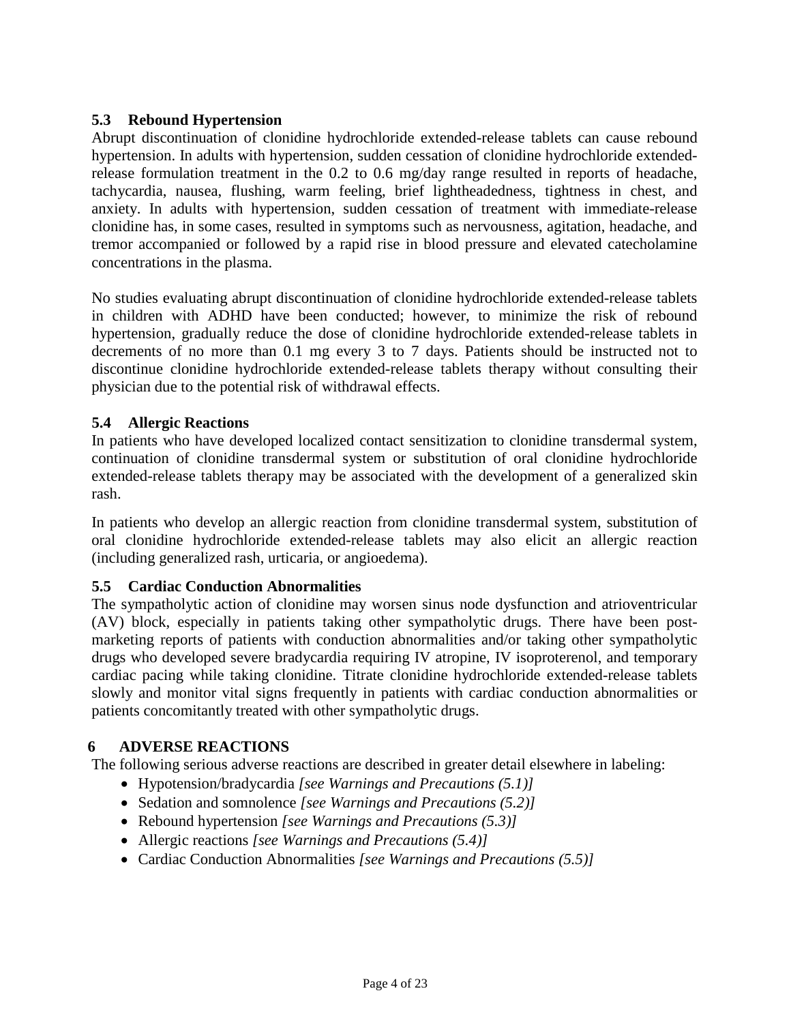## <span id="page-3-1"></span>**5.3 Rebound Hypertension**

Abrupt discontinuation of clonidine hydrochloride extended-release tablets can cause rebound hypertension. In adults with hypertension, sudden cessation of clonidine hydrochloride extendedrelease formulation treatment in the 0.2 to 0.6 mg/day range resulted in reports of headache, tachycardia, nausea, flushing, warm feeling, brief lightheadedness, tightness in chest, and anxiety. In adults with hypertension, sudden cessation of treatment with immediate-release clonidine has, in some cases, resulted in symptoms such as nervousness, agitation, headache, and tremor accompanied or followed by a rapid rise in blood pressure and elevated catecholamine concentrations in the plasma.

No studies evaluating abrupt discontinuation of clonidine hydrochloride extended-release tablets in children with ADHD have been conducted; however, to minimize the risk of rebound hypertension, gradually reduce the dose of clonidine hydrochloride extended-release tablets in decrements of no more than 0.1 mg every 3 to 7 days. Patients should be instructed not to discontinue clonidine hydrochloride extended-release tablets therapy without consulting their physician due to the potential risk of withdrawal effects.

# <span id="page-3-2"></span>**5.4 Allergic Reactions**

In patients who have developed localized contact sensitization to clonidine transdermal system, continuation of clonidine transdermal system or substitution of oral clonidine hydrochloride extended-release tablets therapy may be associated with the development of a generalized skin rash.

In patients who develop an allergic reaction from clonidine transdermal system, substitution of oral clonidine hydrochloride extended-release tablets may also elicit an allergic reaction (including generalized rash, urticaria, or angioedema).

# <span id="page-3-0"></span>**5.5 Cardiac Conduction Abnormalities**

The sympatholytic action of clonidine may worsen sinus node dysfunction and atrioventricular (AV) block, especially in patients taking other sympatholytic drugs. There have been postmarketing reports of patients with conduction abnormalities and/or taking other sympatholytic drugs who developed severe bradycardia requiring IV atropine, IV isoproterenol, and temporary cardiac pacing while taking clonidine. Titrate clonidine hydrochloride extended-release tablets slowly and monitor vital signs frequently in patients with cardiac conduction abnormalities or patients concomitantly treated with other sympatholytic drugs.

# <span id="page-3-3"></span>**6 ADVERSE REACTIONS**

The following serious adverse reactions are described in greater detail elsewhere in labeling:

- Hypotension/bradycardia *[see Warnings and Precautions [\(5.1\)\]](#page-2-2)*
- Sedation and somnolence *[see Warnings and Precautions [\(5.2\)\]](#page-2-3)*
- Rebound hypertension *[see Warnings and Precautions [\(5.3\)\]](#page-3-1)*
- Allergic reactions *[see Warnings and Precautions [\(5.4\)\]](#page-3-2)*
- Cardiac Conduction Abnormalities *[see Warnings and Precautions [\(5.5\)\]](#page-3-0)*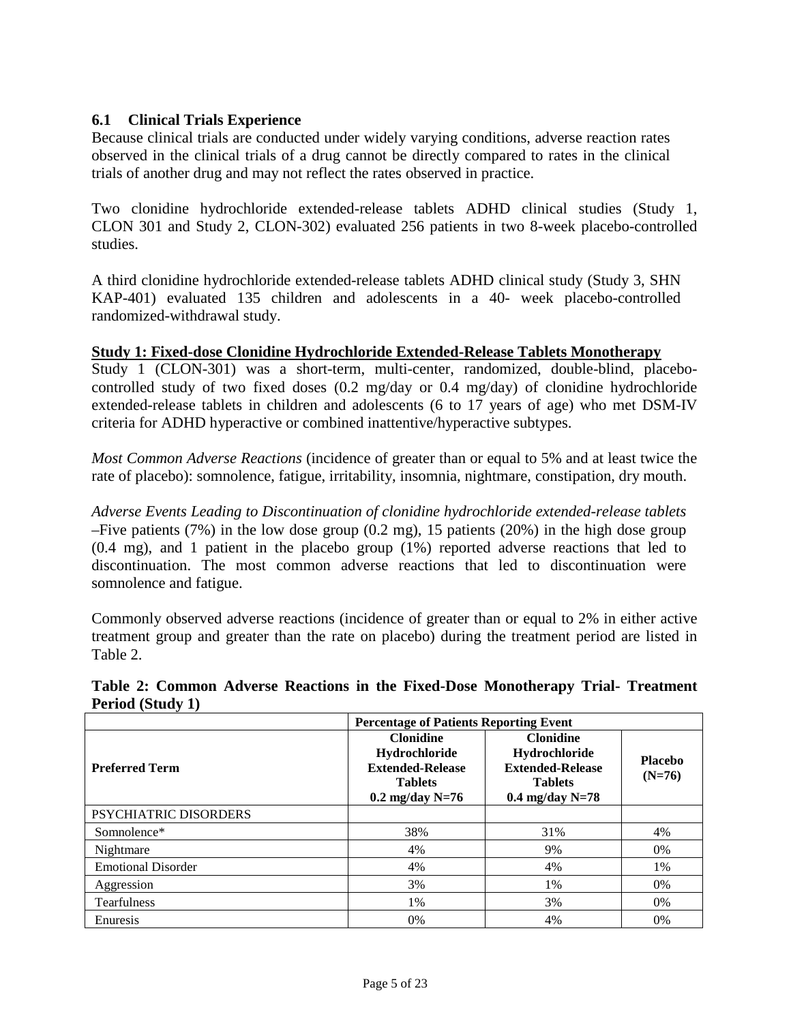## <span id="page-4-0"></span>**6.1 Clinical Trials Experience**

Because clinical trials are conducted under widely varying conditions, adverse reaction rates observed in the clinical trials of a drug cannot be directly compared to rates in the clinical trials of another drug and may not reflect the rates observed in practice.

Two clonidine hydrochloride extended-release tablets ADHD clinical studies (Study 1, CLON 301 and Study 2, CLON-302) evaluated 256 patients in two 8-week placebo-controlled studies.

A third clonidine hydrochloride extended-release tablets ADHD clinical study (Study 3, SHN KAP-401) evaluated 135 children and adolescents in a 40- week placebo-controlled randomized-withdrawal study.

#### **Study 1: Fixed-dose Clonidine Hydrochloride Extended-Release Tablets Monotherapy**

Study 1 (CLON-301) was a short-term, multi-center, randomized, double-blind, placebocontrolled study of two fixed doses (0.2 mg/day or 0.4 mg/day) of clonidine hydrochloride extended-release tablets in children and adolescents (6 to 17 years of age) who met DSM-IV criteria for ADHD hyperactive or combined inattentive/hyperactive subtypes.

*Most Common Adverse Reactions* (incidence of greater than or equal to 5% and at least twice the rate of placebo): somnolence, fatigue, irritability, insomnia, nightmare, constipation, dry mouth.

*Adverse Events Leading to Discontinuation of clonidine hydrochloride extended-release tablets* –Five patients (7%) in the low dose group (0.2 mg), 15 patients (20%) in the high dose group (0.4 mg), and 1 patient in the placebo group (1%) reported adverse reactions that led to discontinuation. The most common adverse reactions that led to discontinuation were somnolence and fatigue.

Commonly observed adverse reactions (incidence of greater than or equal to 2% in either active treatment group and greater than the rate on placebo) during the treatment period are listed in Table 2.

**Table 2: Common Adverse Reactions in the Fixed-Dose Monotherapy Trial- Treatment Period (Study 1)**

|                              | <b>Percentage of Patients Reporting Event</b>                                                       |                                                                                                     |                            |  |  |
|------------------------------|-----------------------------------------------------------------------------------------------------|-----------------------------------------------------------------------------------------------------|----------------------------|--|--|
| <b>Preferred Term</b>        | <b>Clonidine</b><br>Hydrochloride<br><b>Extended-Release</b><br><b>Tablets</b><br>$0.2$ mg/day N=76 | <b>Clonidine</b><br>Hydrochloride<br><b>Extended-Release</b><br><b>Tablets</b><br>$0.4$ mg/day N=78 | <b>Placebo</b><br>$(N=76)$ |  |  |
| <b>PSYCHIATRIC DISORDERS</b> |                                                                                                     |                                                                                                     |                            |  |  |
| Somnolence*                  | 38%                                                                                                 | 31%                                                                                                 | 4%                         |  |  |
| Nightmare                    | 4%                                                                                                  | 9%                                                                                                  | $0\%$                      |  |  |
| <b>Emotional Disorder</b>    | 4%                                                                                                  | 4%                                                                                                  | $1\%$                      |  |  |
| Aggression                   | 3%                                                                                                  | 1%                                                                                                  | $0\%$                      |  |  |
| <b>Tearfulness</b>           | 1%                                                                                                  | 3%                                                                                                  | $0\%$                      |  |  |
| Enuresis                     | $0\%$                                                                                               | 4%                                                                                                  | $0\%$                      |  |  |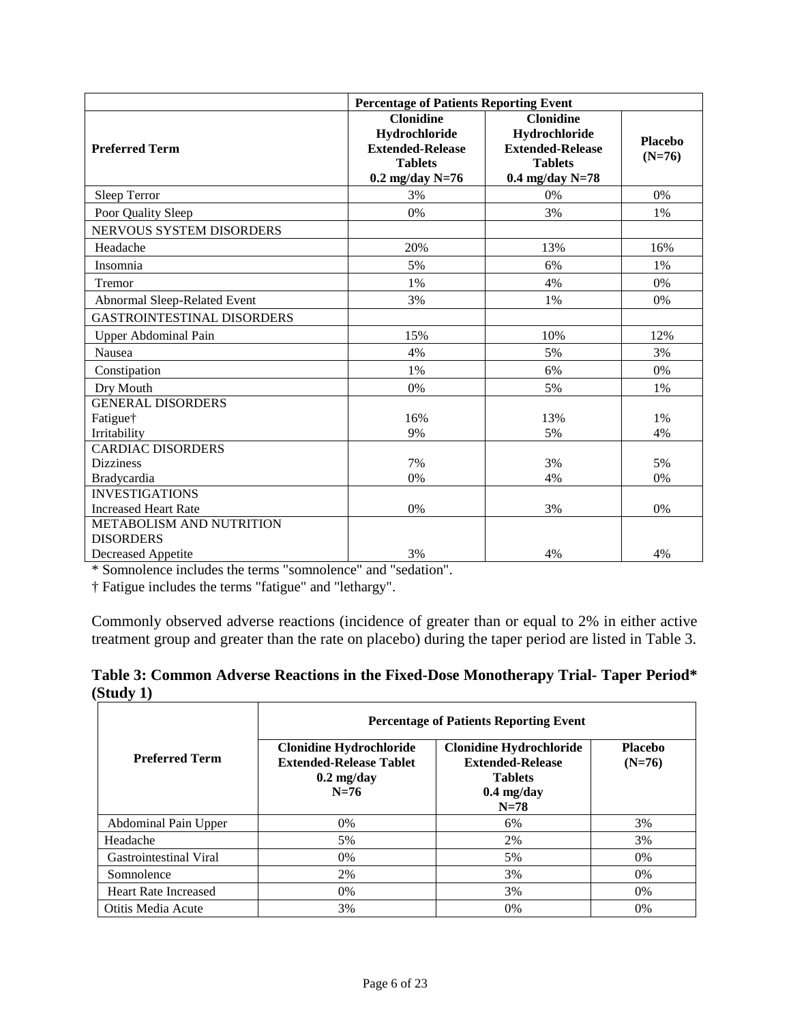|                                                      | <b>Percentage of Patients Reporting Event</b>                                                       |                                                                                                     |                            |  |
|------------------------------------------------------|-----------------------------------------------------------------------------------------------------|-----------------------------------------------------------------------------------------------------|----------------------------|--|
| <b>Preferred Term</b>                                | <b>Clonidine</b><br>Hydrochloride<br><b>Extended-Release</b><br><b>Tablets</b><br>$0.2$ mg/day N=76 | <b>Clonidine</b><br>Hydrochloride<br><b>Extended-Release</b><br><b>Tablets</b><br>$0.4$ mg/day N=78 | <b>Placebo</b><br>$(N=76)$ |  |
| Sleep Terror                                         | 3%                                                                                                  | 0%                                                                                                  | 0%                         |  |
| Poor Quality Sleep                                   | 0%                                                                                                  | 3%                                                                                                  | 1%                         |  |
| <b>NERVOUS SYSTEM DISORDERS</b>                      |                                                                                                     |                                                                                                     |                            |  |
| Headache                                             | 20%                                                                                                 | 13%                                                                                                 | 16%                        |  |
| Insomnia                                             | 5%                                                                                                  | 6%                                                                                                  | 1%                         |  |
| Tremor                                               | 1%                                                                                                  | 4%                                                                                                  | 0%                         |  |
| Abnormal Sleep-Related Event                         | 3%                                                                                                  | 1%                                                                                                  | 0%                         |  |
| <b>GASTROINTESTINAL DISORDERS</b>                    |                                                                                                     |                                                                                                     |                            |  |
| Upper Abdominal Pain                                 | 15%                                                                                                 | 10%                                                                                                 | 12%                        |  |
| Nausea                                               | 4%                                                                                                  | 5%                                                                                                  | 3%                         |  |
| Constipation                                         | 1%                                                                                                  | 6%                                                                                                  | 0%                         |  |
| Dry Mouth                                            | 0%                                                                                                  | 5%                                                                                                  | 1%                         |  |
| <b>GENERAL DISORDERS</b><br>Fatigue†<br>Irritability | 16%<br>9%                                                                                           | 13%<br>5%                                                                                           | 1%<br>4%                   |  |
| <b>CARDIAC DISORDERS</b>                             |                                                                                                     |                                                                                                     |                            |  |
| <b>Dizziness</b>                                     | 7%                                                                                                  | 3%                                                                                                  | 5%                         |  |
| Bradycardia                                          | 0%                                                                                                  | 4%                                                                                                  | 0%                         |  |
| <b>INVESTIGATIONS</b><br><b>Increased Heart Rate</b> | 0%                                                                                                  | 3%                                                                                                  | 0%                         |  |
| METABOLISM AND NUTRITION<br><b>DISORDERS</b>         |                                                                                                     |                                                                                                     |                            |  |
| <b>Decreased Appetite</b>                            | 3%                                                                                                  | 4%                                                                                                  | 4%                         |  |

\* Somnolence includes the terms "somnolence" and "sedation".

† Fatigue includes the terms "fatigue" and "lethargy".

Commonly observed adverse reactions (incidence of greater than or equal to 2% in either active treatment group and greater than the rate on placebo) during the taper period are listed in Table 3.

|           |  | Table 3: Common Adverse Reactions in the Fixed-Dose Monotherapy Trial- Taper Period* |
|-----------|--|--------------------------------------------------------------------------------------|
| (Study 1) |  |                                                                                      |

|                             | <b>Percentage of Patients Reporting Event</b>                                                      |                                                                                                       |                            |  |
|-----------------------------|----------------------------------------------------------------------------------------------------|-------------------------------------------------------------------------------------------------------|----------------------------|--|
| <b>Preferred Term</b>       | <b>Clonidine Hydrochloride</b><br><b>Extended-Release Tablet</b><br>$0.2 \text{ mg/day}$<br>$N=76$ | <b>Clonidine Hydrochloride</b><br><b>Extended-Release</b><br><b>Tablets</b><br>$0.4$ mg/day<br>$N=78$ | <b>Placebo</b><br>$(N=76)$ |  |
| Abdominal Pain Upper        | $0\%$                                                                                              | 6%                                                                                                    | 3%                         |  |
| Headache                    | 5%                                                                                                 | 2%                                                                                                    | 3%                         |  |
| Gastrointestinal Viral      | 0%                                                                                                 | 5%                                                                                                    | $0\%$                      |  |
| Somnolence                  | 2%                                                                                                 | 3%                                                                                                    | $0\%$                      |  |
| <b>Heart Rate Increased</b> | 0%                                                                                                 | 3%                                                                                                    | $0\%$                      |  |
| Otitis Media Acute          | 3%                                                                                                 | 0%                                                                                                    | $0\%$                      |  |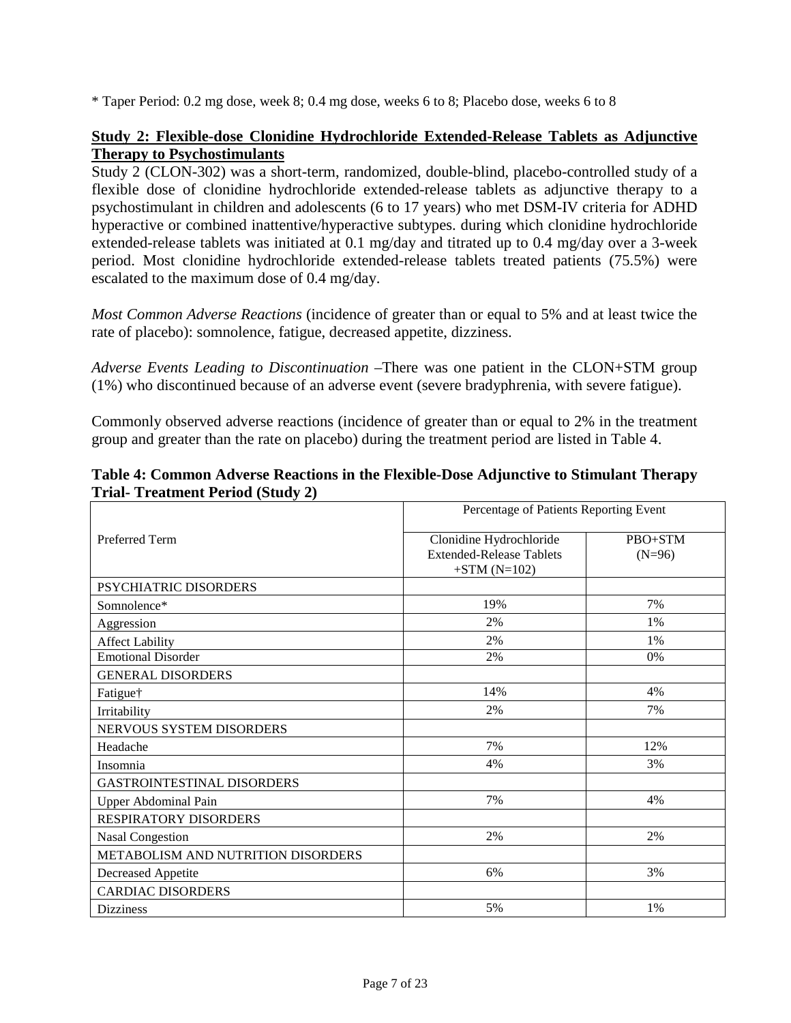\* Taper Period: 0.2 mg dose, week 8; 0.4 mg dose, weeks 6 to 8; Placebo dose, weeks 6 to 8

## **Study 2: Flexible-dose Clonidine Hydrochloride Extended-Release Tablets as Adjunctive Therapy to Psychostimulants**

Study 2 (CLON-302) was a short-term, randomized, double-blind, placebo-controlled study of a flexible dose of clonidine hydrochloride extended-release tablets as adjunctive therapy to a psychostimulant in children and adolescents (6 to 17 years) who met DSM-IV criteria for ADHD hyperactive or combined inattentive/hyperactive subtypes. during which clonidine hydrochloride extended-release tablets was initiated at 0.1 mg/day and titrated up to 0.4 mg/day over a 3-week period. Most clonidine hydrochloride extended-release tablets treated patients (75.5%) were escalated to the maximum dose of 0.4 mg/day.

*Most Common Adverse Reactions* (incidence of greater than or equal to 5% and at least twice the rate of placebo): somnolence, fatigue, decreased appetite, dizziness.

*Adverse Events Leading to Discontinuation* –There was one patient in the CLON+STM group (1%) who discontinued because of an adverse event (severe bradyphrenia, with severe fatigue).

Commonly observed adverse reactions (incidence of greater than or equal to 2% in the treatment group and greater than the rate on placebo) during the treatment period are listed in Table 4.

|                                           | Percentage of Patients Reporting Event |          |
|-------------------------------------------|----------------------------------------|----------|
| <b>Preferred Term</b>                     | Clonidine Hydrochloride                | PBO+STM  |
|                                           | <b>Extended-Release Tablets</b>        | $(N=96)$ |
|                                           | $+STM(N=102)$                          |          |
| PSYCHIATRIC DISORDERS                     |                                        |          |
| Somnolence*                               | 19%                                    | 7%       |
| Aggression                                | 2%                                     | $1\%$    |
| <b>Affect Lability</b>                    | 2%                                     | $1\%$    |
| <b>Emotional Disorder</b>                 | 2%                                     | 0%       |
| <b>GENERAL DISORDERS</b>                  |                                        |          |
| Fatigue†                                  | 14%                                    | 4%       |
| Irritability                              | 2%                                     | 7%       |
| NERVOUS SYSTEM DISORDERS                  |                                        |          |
| Headache                                  | 7%                                     | 12%      |
| Insomnia                                  | 4%                                     | 3%       |
| <b>GASTROINTESTINAL DISORDERS</b>         |                                        |          |
| Upper Abdominal Pain                      | 7%                                     | 4%       |
| <b>RESPIRATORY DISORDERS</b>              |                                        |          |
| <b>Nasal Congestion</b>                   | 2%                                     | 2%       |
| <b>METABOLISM AND NUTRITION DISORDERS</b> |                                        |          |
| <b>Decreased Appetite</b>                 | 6%                                     | 3%       |
| <b>CARDIAC DISORDERS</b>                  |                                        |          |
| <b>Dizziness</b>                          | 5%                                     | 1%       |

## **Table 4: Common Adverse Reactions in the Flexible-Dose Adjunctive to Stimulant Therapy Trial- Treatment Period (Study 2)**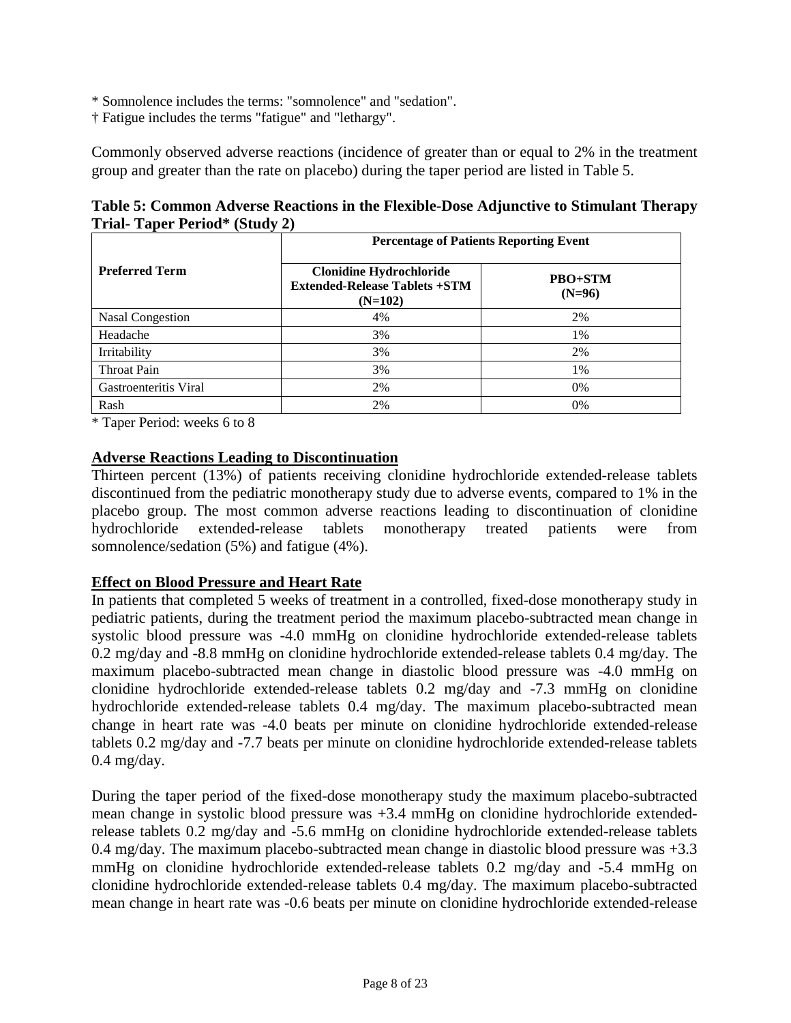\* Somnolence includes the terms: "somnolence" and "sedation".

† Fatigue includes the terms "fatigue" and "lethargy".

Commonly observed adverse reactions (incidence of greater than or equal to 2% in the treatment group and greater than the rate on placebo) during the taper period are listed in Table 5.

| Table 5: Common Adverse Reactions in the Flexible-Dose Adjunctive to Stimulant Therapy |
|----------------------------------------------------------------------------------------|
| <b>Trial-Taper Period* (Study 2)</b>                                                   |

|                         | <b>Percentage of Patients Reporting Event</b>                                       |                            |  |  |
|-------------------------|-------------------------------------------------------------------------------------|----------------------------|--|--|
| <b>Preferred Term</b>   | <b>Clonidine Hydrochloride</b><br><b>Extended-Release Tablets +STM</b><br>$(N=102)$ | <b>PBO+STM</b><br>$(N=96)$ |  |  |
| <b>Nasal Congestion</b> | 4%                                                                                  | 2%                         |  |  |
| Headache                | 3%                                                                                  | 1%                         |  |  |
| Irritability            | 3%                                                                                  | 2%                         |  |  |
| <b>Throat Pain</b>      | 3%                                                                                  | 1%                         |  |  |
| Gastroenteritis Viral   | 2%                                                                                  | 0%                         |  |  |
| Rash                    | 2%                                                                                  | 0%                         |  |  |

\* Taper Period: weeks 6 to 8

### **Adverse Reactions Leading to Discontinuation**

Thirteen percent (13%) of patients receiving clonidine hydrochloride extended-release tablets discontinued from the pediatric monotherapy study due to adverse events, compared to 1% in the placebo group. The most common adverse reactions leading to discontinuation of clonidine hydrochloride extended-release tablets monotherapy treated patients were from somnolence/sedation (5%) and fatigue (4%).

### **Effect on Blood Pressure and Heart Rate**

In patients that completed 5 weeks of treatment in a controlled, fixed-dose monotherapy study in pediatric patients, during the treatment period the maximum placebo-subtracted mean change in systolic blood pressure was -4.0 mmHg on clonidine hydrochloride extended-release tablets 0.2 mg/day and -8.8 mmHg on clonidine hydrochloride extended-release tablets 0.4 mg/day. The maximum placebo-subtracted mean change in diastolic blood pressure was -4.0 mmHg on clonidine hydrochloride extended-release tablets 0.2 mg/day and -7.3 mmHg on clonidine hydrochloride extended-release tablets 0.4 mg/day. The maximum placebo-subtracted mean change in heart rate was -4.0 beats per minute on clonidine hydrochloride extended-release tablets 0.2 mg/day and -7.7 beats per minute on clonidine hydrochloride extended-release tablets 0.4 mg/day.

During the taper period of the fixed-dose monotherapy study the maximum placebo-subtracted mean change in systolic blood pressure was +3.4 mmHg on clonidine hydrochloride extendedrelease tablets 0.2 mg/day and -5.6 mmHg on clonidine hydrochloride extended-release tablets 0.4 mg/day. The maximum placebo-subtracted mean change in diastolic blood pressure was +3.3 mmHg on clonidine hydrochloride extended-release tablets 0.2 mg/day and -5.4 mmHg on clonidine hydrochloride extended-release tablets 0.4 mg/day. The maximum placebo-subtracted mean change in heart rate was -0.6 beats per minute on clonidine hydrochloride extended-release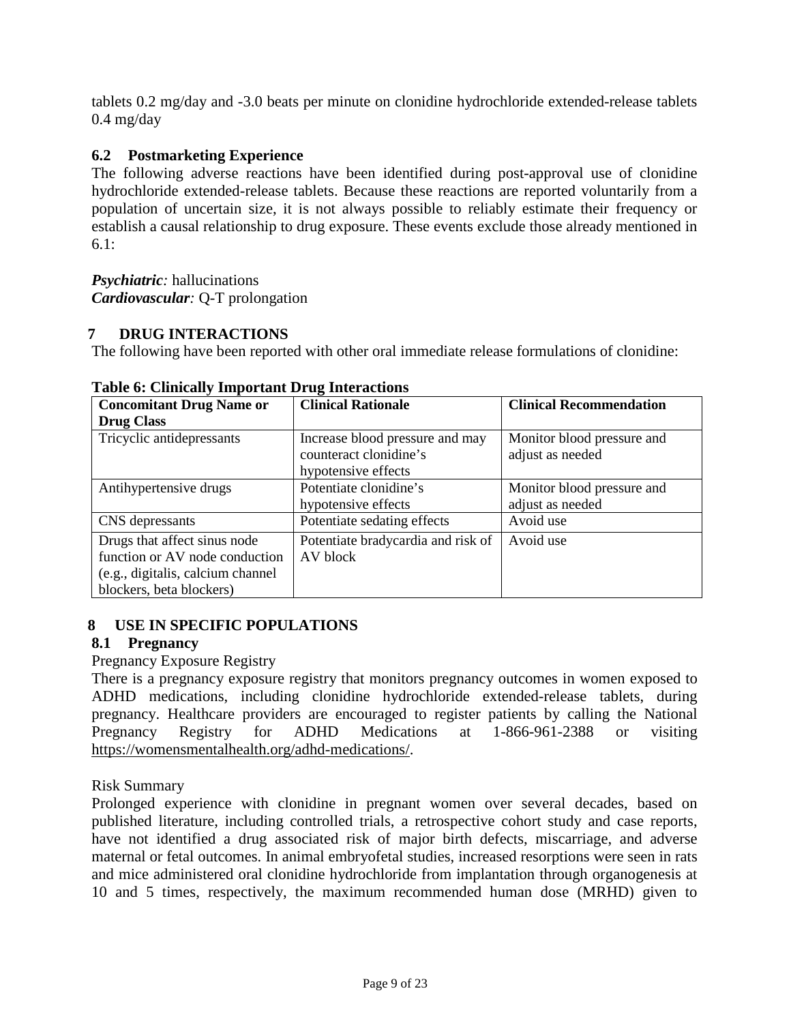tablets 0.2 mg/day and -3.0 beats per minute on clonidine hydrochloride extended-release tablets 0.4 mg/day

# <span id="page-8-1"></span>**6.2 Postmarketing Experience**

The following adverse reactions have been identified during post-approval use of clonidine hydrochloride extended-release tablets. Because these reactions are reported voluntarily from a population of uncertain size, it is not always possible to reliably estimate their frequency or establish a causal relationship to drug exposure. These events exclude those already mentioned in [6.1:](#page-4-0)

## *Psychiatric:* hallucinations *Cardiovascular:* Q-T prolongation

# <span id="page-8-0"></span>**7 DRUG INTERACTIONS**

The following have been reported with other oral immediate release formulations of clonidine:

| <b>Concomitant Drug Name or</b>   | <b>Clinical Rationale</b>          | <b>Clinical Recommendation</b> |
|-----------------------------------|------------------------------------|--------------------------------|
| <b>Drug Class</b>                 |                                    |                                |
| Tricyclic antidepressants         | Increase blood pressure and may    | Monitor blood pressure and     |
|                                   | counteract clonidine's             | adjust as needed               |
|                                   | hypotensive effects                |                                |
| Antihypertensive drugs            | Potentiate clonidine's             | Monitor blood pressure and     |
|                                   | hypotensive effects                | adjust as needed               |
| CNS depressants                   | Potentiate sedating effects        | Avoid use                      |
| Drugs that affect sinus node      | Potentiate bradycardia and risk of | Avoid use                      |
| function or AV node conduction    | AV block                           |                                |
| (e.g., digitalis, calcium channel |                                    |                                |
| blockers, beta blockers)          |                                    |                                |

### **Table 6: Clinically Important Drug Interactions**

# <span id="page-8-3"></span><span id="page-8-2"></span>**8 USE IN SPECIFIC POPULATIONS**

# **8.1 Pregnancy**

# Pregnancy Exposure Registry

There is a pregnancy exposure registry that monitors pregnancy outcomes in women exposed to ADHD medications, including clonidine hydrochloride extended-release tablets, during pregnancy. Healthcare providers are encouraged to register patients by calling the National Pregnancy Registry for ADHD Medications at 1-866-961-2388 or visiting [https://womensmentalhealth.org/adhd-medications/.](https://womensmentalhealth.org/adhd-medications/)

# Risk Summary

Prolonged experience with clonidine in pregnant women over several decades, based on published literature, including controlled trials, a retrospective cohort study and case reports, have not identified a drug associated risk of major birth defects, miscarriage, and adverse maternal or fetal outcomes. In animal embryofetal studies, increased resorptions were seen in rats and mice administered oral clonidine hydrochloride from implantation through organogenesis at 10 and 5 times, respectively, the maximum recommended human dose (MRHD) given to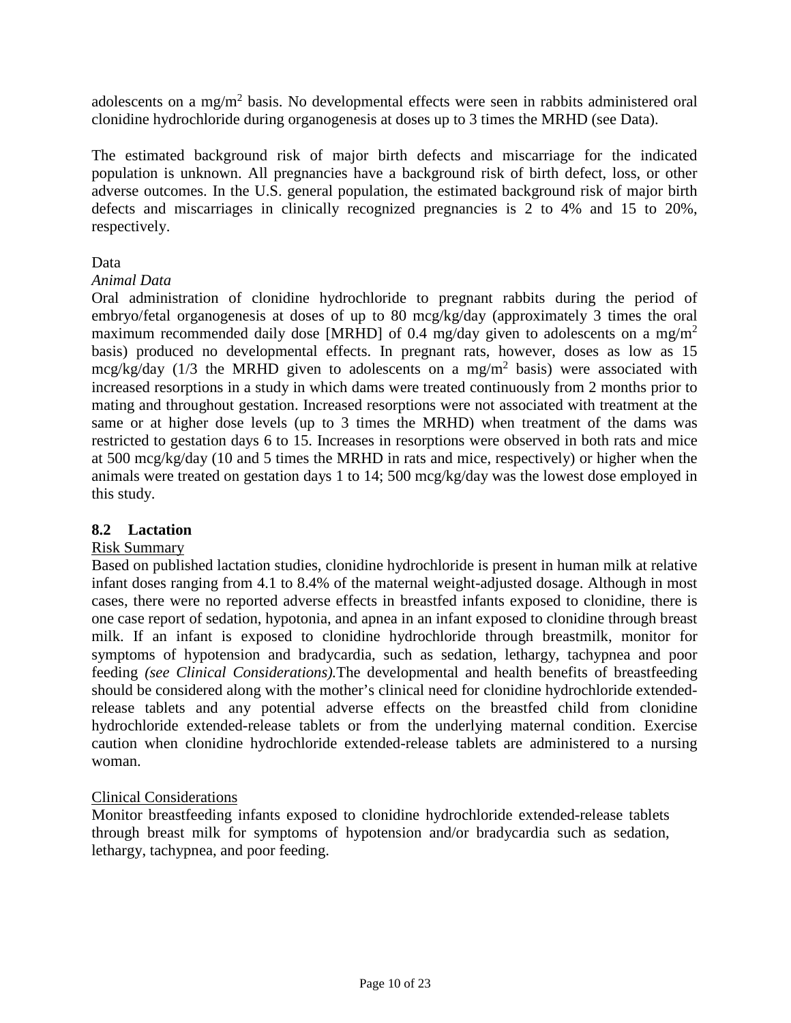adolescents on a mg/m<sup>2</sup> basis. No developmental effects were seen in rabbits administered oral clonidine hydrochloride during organogenesis at doses up to 3 times the MRHD [\(see Data](#page-9-1)).

<span id="page-9-1"></span>The estimated background risk of major birth defects and miscarriage for the indicated population is unknown. All pregnancies have a background risk of birth defect, loss, or other adverse outcomes. In the U.S. general population, the estimated background risk of major birth defects and miscarriages in clinically recognized pregnancies is 2 to 4% and 15 to 20%, respectively.

## Data

## *Animal Data*

Oral administration of clonidine hydrochloride to pregnant rabbits during the period of embryo/fetal organogenesis at doses of up to 80 mcg/kg/day (approximately 3 times the oral maximum recommended daily dose [MRHD] of 0.4 mg/day given to adolescents on a mg/m<sup>2</sup> basis) produced no developmental effects. In pregnant rats, however, doses as low as 15 mcg/kg/day (1/3 the MRHD given to adolescents on a mg/m<sup>2</sup> basis) were associated with increased resorptions in a study in which dams were treated continuously from 2 months prior to mating and throughout gestation. Increased resorptions were not associated with treatment at the same or at higher dose levels (up to 3 times the MRHD) when treatment of the dams was restricted to gestation days 6 to 15. Increases in resorptions were observed in both rats and mice at 500 mcg/kg/day (10 and 5 times the MRHD in rats and mice, respectively) or higher when the animals were treated on gestation days 1 to 14; 500 mcg/kg/day was the lowest dose employed in this study.

# <span id="page-9-2"></span><span id="page-9-0"></span>**8.2 Lactation**

# Risk Summary

Based on published lactation studies, clonidine hydrochloride is present in human milk at relative infant doses ranging from 4.1 to 8.4% of the maternal weight-adjusted dosage. Although in most cases, there were no reported adverse effects in breastfed infants exposed to clonidine, there is one case report of sedation, hypotonia, and apnea in an infant exposed to clonidine through breast milk. If an infant is exposed to clonidine hydrochloride through breastmilk, monitor for symptoms of hypotension and bradycardia, such as sedation, lethargy, tachypnea and poor feeding *(see [Clinical Considerations\)](#page-9-2).*The developmental and health benefits of breastfeeding should be considered along with the mother's clinical need for clonidine hydrochloride extendedrelease tablets and any potential adverse effects on the breastfed child from clonidine hydrochloride extended-release tablets or from the underlying maternal condition. Exercise caution when clonidine hydrochloride extended-release tablets are administered to a nursing woman.

# Clinical Considerations

Monitor breastfeeding infants exposed to clonidine hydrochloride extended-release tablets through breast milk for symptoms of hypotension and/or bradycardia such as sedation, lethargy, tachypnea, and poor feeding.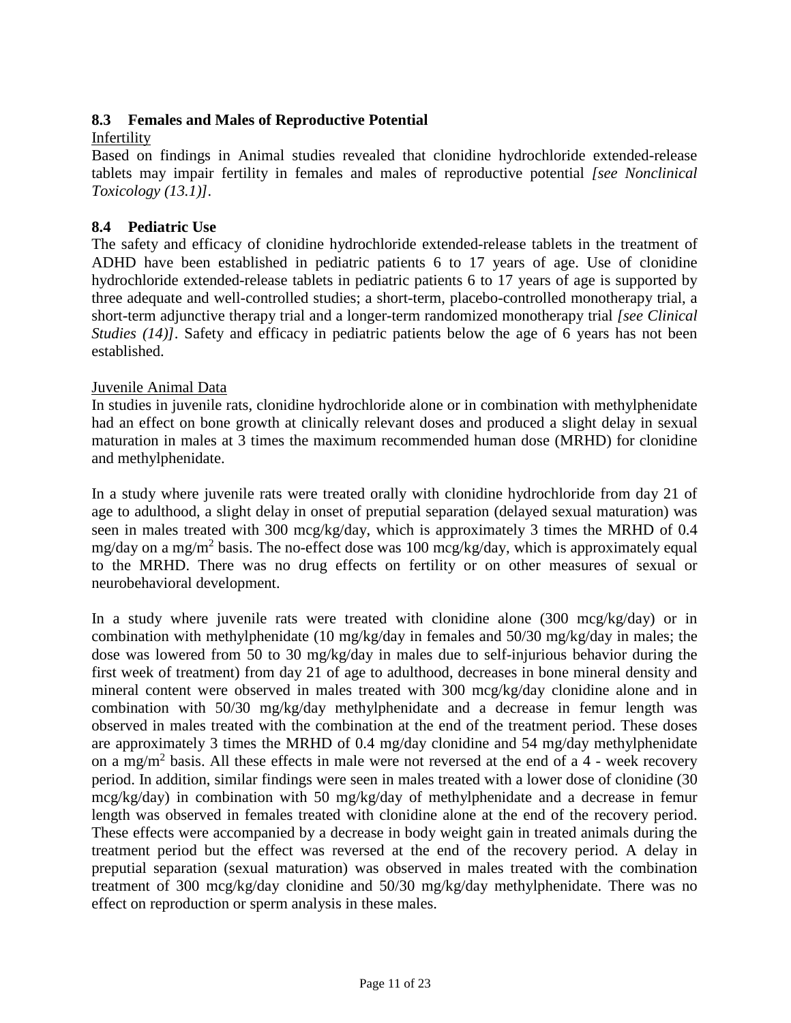# <span id="page-10-0"></span>**8.3 Females and Males of Reproductive Potential**

## Infertility

Based on findings in Animal studies revealed that clonidine hydrochloride extended-release tablets may impair fertility in females and males of reproductive potential *[see Nonclinical Toxicology [\(13.1\)\]](#page-14-1).*

# <span id="page-10-1"></span>**8.4 Pediatric Use**

The safety and efficacy of clonidine hydrochloride extended-release tablets in the treatment of ADHD have been established in pediatric patients 6 to 17 years of age. Use of clonidine hydrochloride extended-release tablets in pediatric patients 6 to 17 years of age is supported by three adequate and well-controlled studies; a short-term, placebo-controlled monotherapy trial, a short-term adjunctive therapy trial and a longer-term randomized monotherapy trial *[see Clinical Studies [\(14\)\]](#page-14-2)*. Safety and efficacy in pediatric patients below the age of 6 years has not been established.

## Juvenile Animal Data

In studies in juvenile rats, clonidine hydrochloride alone or in combination with methylphenidate had an effect on bone growth at clinically relevant doses and produced a slight delay in sexual maturation in males at 3 times the maximum recommended human dose (MRHD) for clonidine and methylphenidate.

In a study where juvenile rats were treated orally with clonidine hydrochloride from day 21 of age to adulthood, a slight delay in onset of preputial separation (delayed sexual maturation) was seen in males treated with 300 mcg/kg/day, which is approximately 3 times the MRHD of 0.4 mg/day on a mg/m<sup>2</sup> basis. The no-effect dose was 100 mcg/kg/day, which is approximately equal to the MRHD. There was no drug effects on fertility or on other measures of sexual or neurobehavioral development.

In a study where juvenile rats were treated with clonidine alone (300 mcg/kg/day) or in combination with methylphenidate (10 mg/kg/day in females and 50/30 mg/kg/day in males; the dose was lowered from 50 to 30 mg/kg/day in males due to self-injurious behavior during the first week of treatment) from day 21 of age to adulthood, decreases in bone mineral density and mineral content were observed in males treated with 300 mcg/kg/day clonidine alone and in combination with 50/30 mg/kg/day methylphenidate and a decrease in femur length was observed in males treated with the combination at the end of the treatment period. These doses are approximately 3 times the MRHD of 0.4 mg/day clonidine and 54 mg/day methylphenidate on a mg/m<sup>2</sup> basis. All these effects in male were not reversed at the end of a 4 - week recovery period. In addition, similar findings were seen in males treated with a lower dose of clonidine (30 mcg/kg/day) in combination with 50 mg/kg/day of methylphenidate and a decrease in femur length was observed in females treated with clonidine alone at the end of the recovery period. These effects were accompanied by a decrease in body weight gain in treated animals during the treatment period but the effect was reversed at the end of the recovery period. A delay in preputial separation (sexual maturation) was observed in males treated with the combination treatment of 300 mcg/kg/day clonidine and 50/30 mg/kg/day methylphenidate. There was no effect on reproduction or sperm analysis in these males.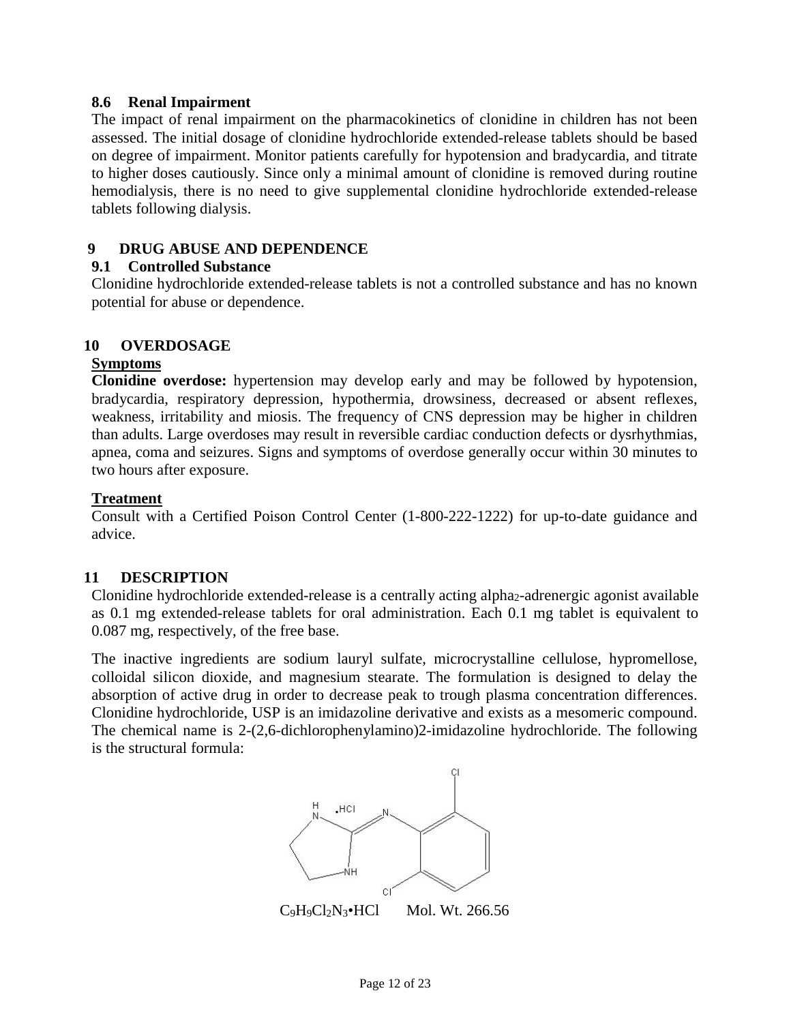### <span id="page-11-0"></span>**8.6 Renal Impairment**

The impact of renal impairment on the pharmacokinetics of clonidine in children has not been assessed. The initial dosage of clonidine hydrochloride extended-release tablets should be based on degree of impairment. Monitor patients carefully for hypotension and bradycardia, and titrate to higher doses cautiously. Since only a minimal amount of clonidine is removed during routine hemodialysis, there is no need to give supplemental clonidine hydrochloride extended-release tablets following dialysis.

## <span id="page-11-2"></span><span id="page-11-1"></span>**9 DRUG ABUSE AND DEPENDENCE**

### **9.1 Controlled Substance**

Clonidine hydrochloride extended-release tablets is not a controlled substance and has no known potential for abuse or dependence.

### <span id="page-11-3"></span>**10 OVERDOSAGE**

#### **Symptoms**

**Clonidine overdose:** hypertension may develop early and may be followed by hypotension, bradycardia, respiratory depression, hypothermia, drowsiness, decreased or absent reflexes, weakness, irritability and miosis. The frequency of CNS depression may be higher in children than adults. Large overdoses may result in reversible cardiac conduction defects or dysrhythmias, apnea, coma and seizures. Signs and symptoms of overdose generally occur within 30 minutes to two hours after exposure.

#### **Treatment**

Consult with a Certified Poison Control Center (1-800-222-1222) for up-to-date guidance and advice.

### <span id="page-11-4"></span>**11 DESCRIPTION**

Clonidine hydrochloride extended-release is a centrally acting alpha<sub>2</sub>-adrenergic agonist available as 0.1 mg extended-release tablets for oral administration. Each 0.1 mg tablet is equivalent to 0.087 mg, respectively, of the free base.

The inactive ingredients are sodium lauryl sulfate, microcrystalline cellulose, hypromellose, colloidal silicon dioxide, and magnesium stearate. The formulation is designed to delay the absorption of active drug in order to decrease peak to trough plasma concentration differences. Clonidine hydrochloride, USP is an imidazoline derivative and exists as a mesomeric compound. The chemical name is 2-(2,6-dichlorophenylamino)2-imidazoline hydrochloride. The following is the structural formula:



 $C_9H_9C_2N_3 \cdot HCl$  Mol. Wt. 266.56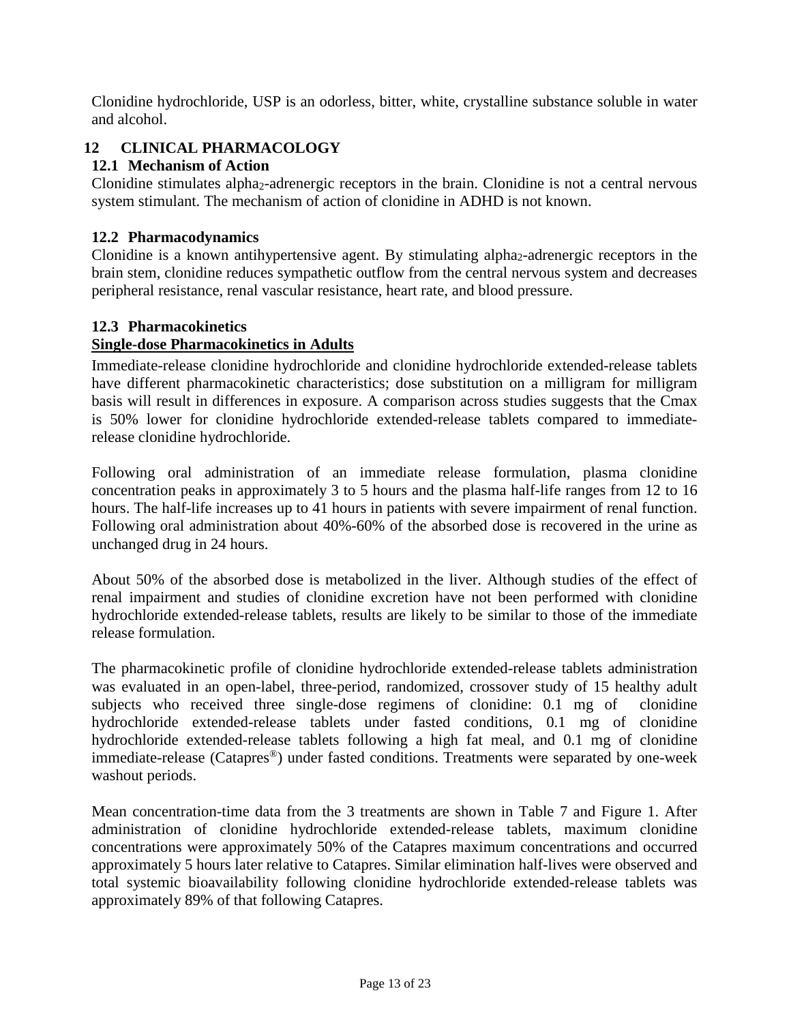Clonidine hydrochloride, USP is an odorless, bitter, white, crystalline substance soluble in water and alcohol.

# <span id="page-12-2"></span><span id="page-12-1"></span>**12 CLINICAL PHARMACOLOGY**

# **12.1 Mechanism of Action**

Clonidine stimulates alpha<sub>2</sub>-adrenergic receptors in the brain. Clonidine is not a central nervous system stimulant. The mechanism of action of clonidine in ADHD is not known.

# <span id="page-12-3"></span>**12.2 Pharmacodynamics**

Clonidine is a known antihypertensive agent. By stimulating alpha2-adrenergic receptors in the brain stem, clonidine reduces sympathetic outflow from the central nervous system and decreases peripheral resistance, renal vascular resistance, heart rate, and blood pressure.

# <span id="page-12-0"></span>**12.3 Pharmacokinetics**

# **Single-dose Pharmacokinetics in Adults**

Immediate-release clonidine hydrochloride and clonidine hydrochloride extended-release tablets have different pharmacokinetic characteristics; dose substitution on a milligram for milligram basis will result in differences in exposure. A comparison across studies suggests that the Cmax is 50% lower for clonidine hydrochloride extended-release tablets compared to immediaterelease clonidine hydrochloride.

Following oral administration of an immediate release formulation, plasma clonidine concentration peaks in approximately 3 to 5 hours and the plasma half-life ranges from 12 to 16 hours. The half-life increases up to 41 hours in patients with severe impairment of renal function. Following oral administration about 40%-60% of the absorbed dose is recovered in the urine as unchanged drug in 24 hours.

About 50% of the absorbed dose is metabolized in the liver. Although studies of the effect of renal impairment and studies of clonidine excretion have not been performed with clonidine hydrochloride extended-release tablets, results are likely to be similar to those of the immediate release formulation.

The pharmacokinetic profile of clonidine hydrochloride extended-release tablets administration was evaluated in an open-label, three-period, randomized, crossover study of 15 healthy adult subjects who received three single-dose regimens of clonidine: 0.1 mg of clonidine hydrochloride extended-release tablets under fasted conditions, 0.1 mg of clonidine hydrochloride extended-release tablets following a high fat meal, and 0.1 mg of clonidine immediate-release (Catapres®) under fasted conditions. Treatments were separated by one-week washout periods.

Mean concentration-time data from the 3 treatments are shown in [Table 7](#page-13-0) and [Figure 1.](#page-13-1) After administration of clonidine hydrochloride extended-release tablets, maximum clonidine concentrations were approximately 50% of the Catapres maximum concentrations and occurred approximately 5 hours later relative to Catapres. Similar elimination half-lives were observed and total systemic bioavailability following clonidine hydrochloride extended-release tablets was approximately 89% of that following Catapres.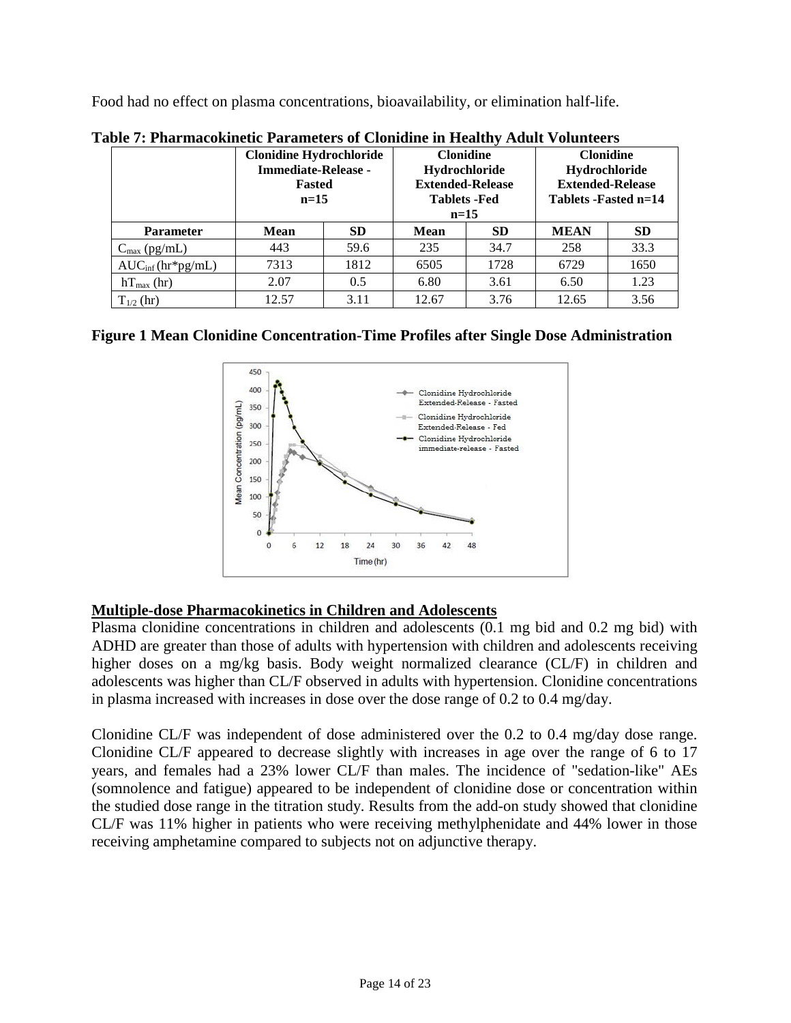<span id="page-13-0"></span>Food had no effect on plasma concentrations, bioavailability, or elimination half-life.

| udio Al Inglinuominone I grunionelo ol Cioniunio in Iloginii Tiugle (Olunioelo |                                                              |                         |                      |                  |                         |               |
|--------------------------------------------------------------------------------|--------------------------------------------------------------|-------------------------|----------------------|------------------|-------------------------|---------------|
|                                                                                | <b>Clonidine Hydrochloride</b><br><b>Immediate-Release -</b> |                         |                      | <b>Clonidine</b> | <b>Clonidine</b>        |               |
|                                                                                |                                                              |                         |                      | Hydrochloride    |                         | Hydrochloride |
|                                                                                | Fasted                                                       | <b>Extended-Release</b> |                      |                  | <b>Extended-Release</b> |               |
|                                                                                | $n=15$                                                       |                         | <b>Tablets</b> - Fed |                  | Tablets -Fasted n=14    |               |
|                                                                                |                                                              |                         | $n=15$               |                  |                         |               |
| <b>Parameter</b>                                                               | Mean                                                         | <b>SD</b>               | <b>Mean</b>          | SD.              | <b>MEAN</b>             | <b>SD</b>     |
| $C_{\text{max}}$ (pg/mL)                                                       | 443                                                          | 59.6                    | 235                  | 34.7             | 258                     | 33.3          |
| $AUC_{inf}(hr*pg/mL)$                                                          | 7313                                                         | 1812                    | 6505                 | 1728             | 6729                    | 1650          |
| $hT_{\text{max}}$ (hr)                                                         | 2.07                                                         | 0.5                     | 6.80                 | 3.61             | 6.50                    | 1.23          |
| $T_{1/2}$ (hr)                                                                 | 12.57                                                        | 3.11                    | 12.67                | 3.76             | 12.65                   | 3.56          |

<span id="page-13-1"></span>**Table 7: Pharmacokinetic Parameters of Clonidine in Healthy Adult Volunteers**

# **Figure 1 Mean Clonidine Concentration-Time Profiles after Single Dose Administration**



# **Multiple-dose Pharmacokinetics in Children and Adolescents**

Plasma clonidine concentrations in children and adolescents (0.1 mg bid and 0.2 mg bid) with ADHD are greater than those of adults with hypertension with children and adolescents receiving higher doses on a mg/kg basis. Body weight normalized clearance (CL/F) in children and adolescents was higher than CL/F observed in adults with hypertension. Clonidine concentrations in plasma increased with increases in dose over the dose range of 0.2 to 0.4 mg/day.

Clonidine CL/F was independent of dose administered over the 0.2 to 0.4 mg/day dose range. Clonidine CL/F appeared to decrease slightly with increases in age over the range of 6 to 17 years, and females had a 23% lower CL/F than males. The incidence of "sedation-like" AEs (somnolence and fatigue) appeared to be independent of clonidine dose or concentration within the studied dose range in the titration study. Results from the add-on study showed that clonidine CL/F was 11% higher in patients who were receiving methylphenidate and 44% lower in those receiving amphetamine compared to subjects not on adjunctive therapy.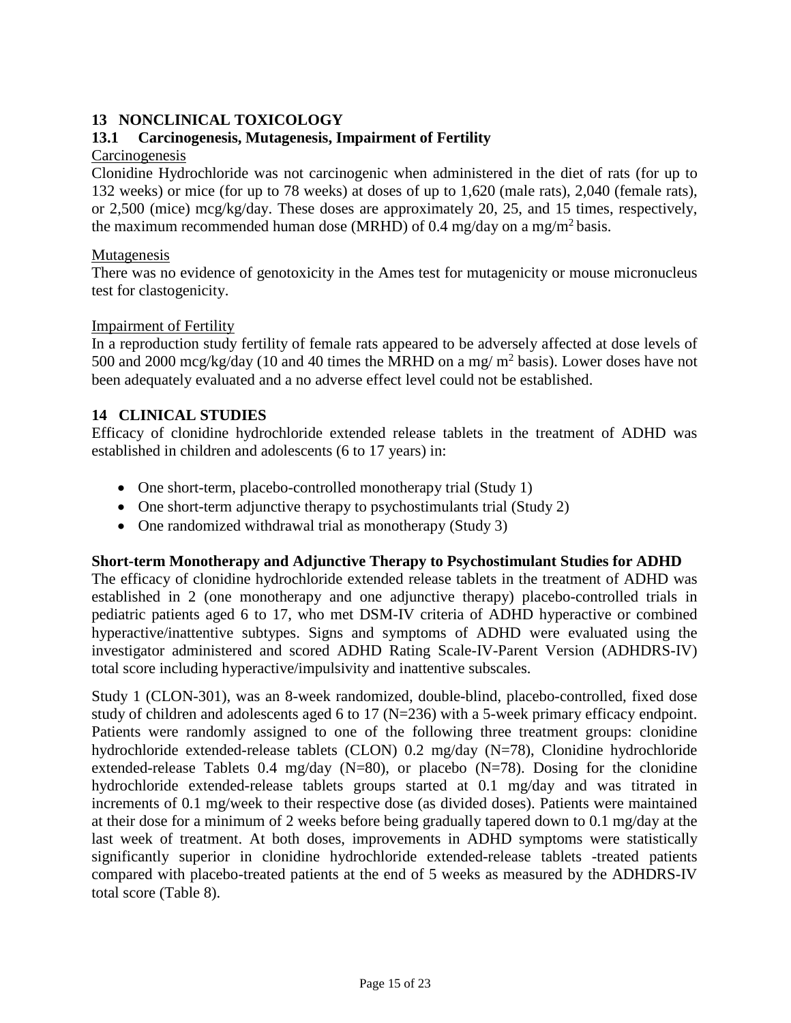# <span id="page-14-0"></span>**13 NONCLINICAL TOXICOLOGY**

# <span id="page-14-1"></span>**13.1 Carcinogenesis, Mutagenesis, Impairment of Fertility**

## Carcinogenesis

Clonidine Hydrochloride was not carcinogenic when administered in the diet of rats (for up to 132 weeks) or mice (for up to 78 weeks) at doses of up to 1,620 (male rats), 2,040 (female rats), or 2,500 (mice) mcg/kg/day. These doses are approximately 20, 25, and 15 times, respectively, the maximum recommended human dose (MRHD) of 0.4 mg/day on a mg/m<sup>2</sup> basis.

### Mutagenesis

There was no evidence of genotoxicity in the Ames test for mutagenicity or mouse micronucleus test for clastogenicity.

### Impairment of Fertility

In a reproduction study fertility of female rats appeared to be adversely affected at dose levels of 500 and 2000 mcg/kg/day (10 and 40 times the MRHD on a mg/  $m^2$  basis). Lower doses have not been adequately evaluated and a no adverse effect level could not be established.

# <span id="page-14-2"></span>**14 CLINICAL STUDIES**

Efficacy of clonidine hydrochloride extended release tablets in the treatment of ADHD was established in children and adolescents (6 to 17 years) in:

- One short-term, placebo-controlled monotherapy trial (Study 1)
- One short-term adjunctive therapy to psychostimulants trial (Study 2)
- One randomized withdrawal trial as monotherapy (Study 3)

# **Short-term Monotherapy and Adjunctive Therapy to Psychostimulant Studies for ADHD**

The efficacy of clonidine hydrochloride extended release tablets in the treatment of ADHD was established in 2 (one monotherapy and one adjunctive therapy) placebo-controlled trials in pediatric patients aged 6 to 17, who met DSM-IV criteria of ADHD hyperactive or combined hyperactive/inattentive subtypes. Signs and symptoms of ADHD were evaluated using the investigator administered and scored ADHD Rating Scale-IV-Parent Version (ADHDRS-IV) total score including hyperactive/impulsivity and inattentive subscales.

Study 1 (CLON-301), was an 8-week randomized, double-blind, placebo-controlled, fixed dose study of children and adolescents aged 6 to 17 (N=236) with a 5-week primary efficacy endpoint. Patients were randomly assigned to one of the following three treatment groups: clonidine hydrochloride extended-release tablets (CLON) 0.2 mg/day (N=78), Clonidine hydrochloride extended-release Tablets 0.4 mg/day (N=80), or placebo (N=78). Dosing for the clonidine hydrochloride extended-release tablets groups started at 0.1 mg/day and was titrated in increments of 0.1 mg/week to their respective dose (as divided doses). Patients were maintained at their dose for a minimum of 2 weeks before being gradually tapered down to 0.1 mg/day at the last week of treatment. At both doses, improvements in ADHD symptoms were statistically significantly superior in clonidine hydrochloride extended-release tablets -treated patients compared with placebo-treated patients at the end of 5 weeks as measured by the ADHDRS-IV total score [\(Table 8\).](#page-15-0)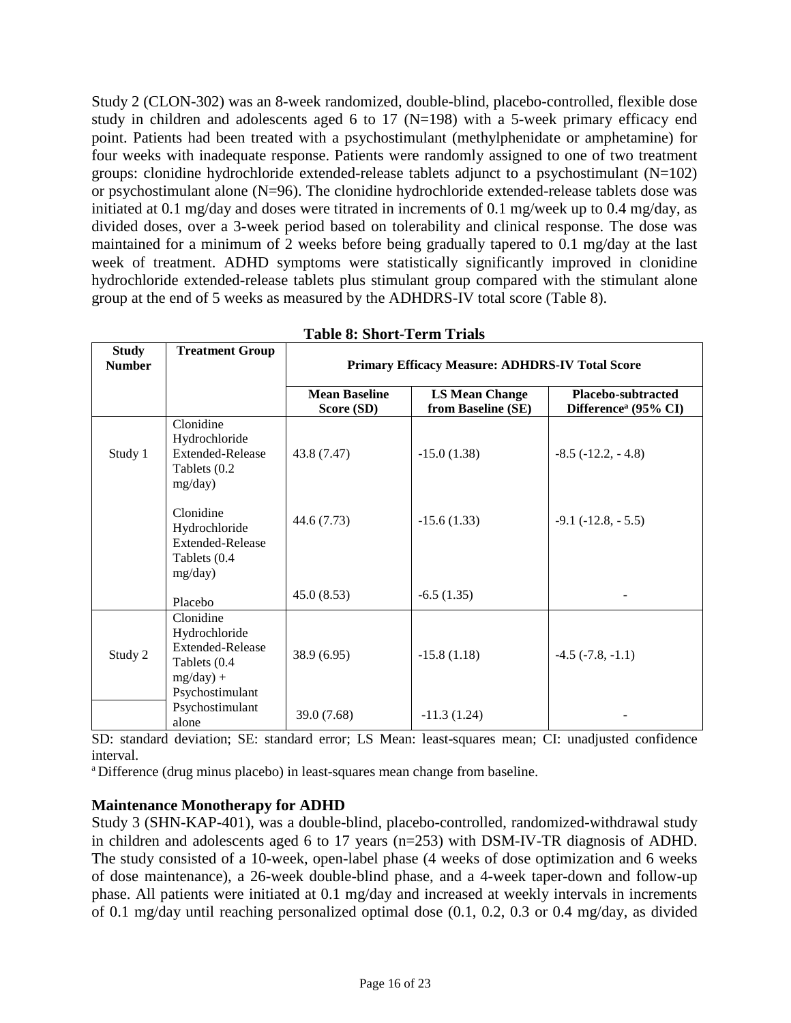<span id="page-15-1"></span>Study 2 (CLON-302) was an 8-week randomized, double-blind, placebo-controlled, flexible dose study in children and adolescents aged 6 to 17 ( $N=198$ ) with a 5-week primary efficacy end point. Patients had been treated with a psychostimulant (methylphenidate or amphetamine) for four weeks with inadequate response. Patients were randomly assigned to one of two treatment groups: clonidine hydrochloride extended-release tablets adjunct to a psychostimulant  $(N=102)$ or psychostimulant alone (N=96). The clonidine hydrochloride extended-release tablets dose was initiated at 0.1 mg/day and doses were titrated in increments of 0.1 mg/week up to 0.4 mg/day, as divided doses, over a 3-week period based on tolerability and clinical response. The dose was maintained for a minimum of 2 weeks before being gradually tapered to 0.1 mg/day at the last week of treatment. ADHD symptoms were statistically significantly improved in clonidine hydrochloride extended-release tablets plus stimulant group compared with the stimulant alone group at the end of 5 weeks as measured by the ADHDRS-IV total score [\(Table 8\).](#page-15-1)

<span id="page-15-0"></span>

| <b>Study</b><br><b>Number</b> | <b>Treatment Group</b>                                                                                                                                     | <b>Primary Efficacy Measure: ADHDRS-IV Total Score</b> |                                             |                                                        |  |
|-------------------------------|------------------------------------------------------------------------------------------------------------------------------------------------------------|--------------------------------------------------------|---------------------------------------------|--------------------------------------------------------|--|
|                               |                                                                                                                                                            | <b>Mean Baseline</b><br>Score (SD)                     | <b>LS Mean Change</b><br>from Baseline (SE) | Placebo-subtracted<br>Difference <sup>a</sup> (95% CI) |  |
| Study 1                       | Clonidine<br>Hydrochloride<br><b>Extended-Release</b><br>Tablets (0.2)<br>mg/day)<br>Clonidine<br>Hydrochloride<br><b>Extended-Release</b><br>Tablets (0.4 | 43.8 (7.47)<br>44.6 (7.73)                             | $-15.0(1.38)$<br>$-15.6(1.33)$              | $-8.5$ ( $-12.2$ , $-4.8$ )<br>$-9.1$ $(-12.8, -5.5)$  |  |
|                               | mg/day)<br>Placebo                                                                                                                                         | 45.0(8.53)                                             | $-6.5(1.35)$                                |                                                        |  |
| Study 2                       | Clonidine<br>Hydrochloride<br><b>Extended-Release</b><br>Tablets (0.4<br>$mg/day) +$<br>Psychostimulant                                                    | 38.9(6.95)                                             | $-15.8(1.18)$                               | $-4.5$ $(-7.8, -1.1)$                                  |  |
|                               | Psychostimulant<br>alone                                                                                                                                   | 39.0 (7.68)                                            | $-11.3(1.24)$                               |                                                        |  |

| <b>Table 8: Short-Term Trials</b> |  |
|-----------------------------------|--|
|                                   |  |

SD: standard deviation; SE: standard error; LS Mean: least-squares mean; CI: unadjusted confidence interval.

a Difference (drug minus placebo) in least-squares mean change from baseline.

### **Maintenance Monotherapy for ADHD**

Study 3 (SHN-KAP-401), was a double-blind, placebo-controlled, randomized-withdrawal study in children and adolescents aged 6 to 17 years (n=253) with DSM-IV-TR diagnosis of ADHD. The study consisted of a 10-week, open-label phase (4 weeks of dose optimization and 6 weeks of dose maintenance), a 26-week double-blind phase, and a 4-week taper-down and follow-up phase. All patients were initiated at 0.1 mg/day and increased at weekly intervals in increments of 0.1 mg/day until reaching personalized optimal dose (0.1, 0.2, 0.3 or 0.4 mg/day, as divided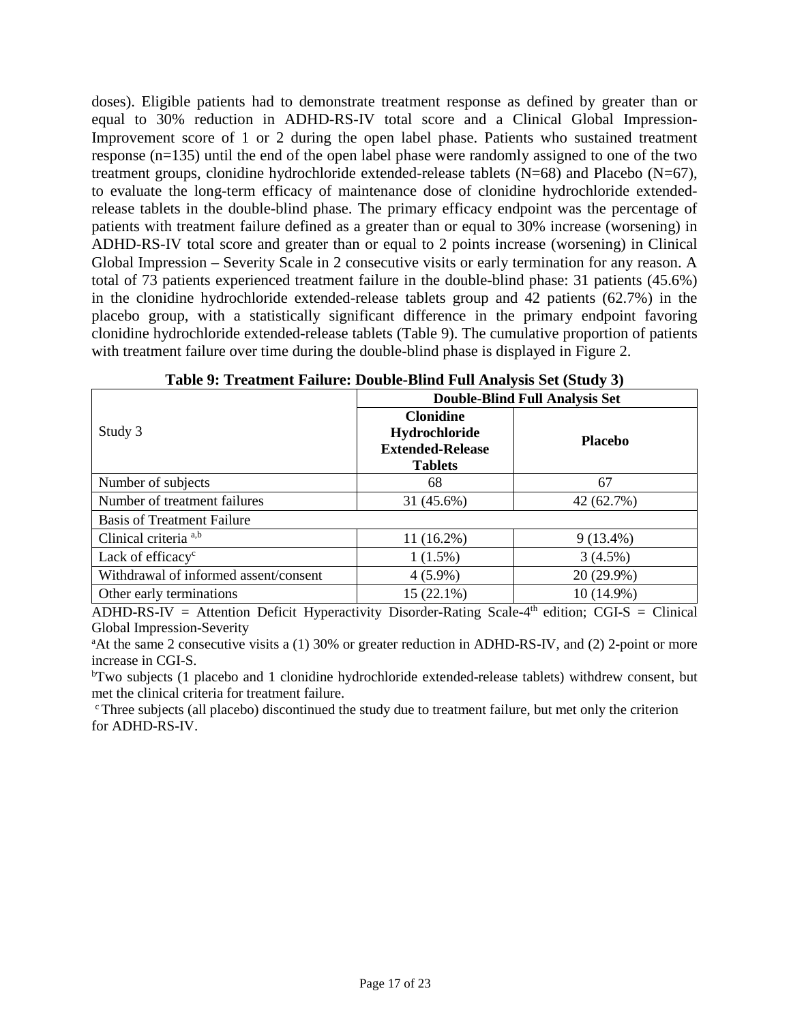<span id="page-16-0"></span>doses). Eligible patients had to demonstrate treatment response as defined by greater than or equal to 30% reduction in ADHD-RS-IV total score and a Clinical Global Impression-Improvement score of 1 or 2 during the open label phase. Patients who sustained treatment response (n=135) until the end of the open label phase were randomly assigned to one of the two treatment groups, clonidine hydrochloride extended-release tablets (N=68) and Placebo (N=67), to evaluate the long-term efficacy of maintenance dose of clonidine hydrochloride extendedrelease tablets in the double-blind phase. The primary efficacy endpoint was the percentage of patients with treatment failure defined as a greater than or equal to 30% increase (worsening) in ADHD-RS-IV total score and greater than or equal to 2 points increase (worsening) in Clinical Global Impression – Severity Scale in 2 consecutive visits or early termination for any reason. A total of 73 patients experienced treatment failure in the double-blind phase: 31 patients (45.6%) in the clonidine hydrochloride extended-release tablets group and 42 patients (62.7%) in the placebo group, with a statistically significant difference in the primary endpoint favoring clonidine hydrochloride extended-release tablets [\(Table 9\).](#page-16-0) The cumulative proportion of patients with treatment failure over time during the double-blind phase is displayed in [Figure 2.](#page-17-2) 

|                                       | <b>Double-Blind Full Analysis Set</b>                                          |                |  |  |  |  |  |
|---------------------------------------|--------------------------------------------------------------------------------|----------------|--|--|--|--|--|
| Study 3                               | <b>Clonidine</b><br>Hydrochloride<br><b>Extended-Release</b><br><b>Tablets</b> | <b>Placebo</b> |  |  |  |  |  |
| Number of subjects                    | 68                                                                             | 67             |  |  |  |  |  |
| Number of treatment failures          | 31 (45.6%)                                                                     | 42 (62.7%)     |  |  |  |  |  |
| <b>Basis of Treatment Failure</b>     |                                                                                |                |  |  |  |  |  |
| Clinical criteria <sup>a,b</sup>      | $11(16.2\%)$                                                                   | $9(13.4\%)$    |  |  |  |  |  |
| Lack of efficacy <sup>c</sup>         | $1(1.5\%)$                                                                     | $3(4.5\%)$     |  |  |  |  |  |
| Withdrawal of informed assent/consent | $4(5.9\%)$                                                                     | $20(29.9\%)$   |  |  |  |  |  |
| Other early terminations              | 15 (22.1%)                                                                     | 10 (14.9%)     |  |  |  |  |  |

| Table 9: Treatment Failure: Double-Blind Full Analysis Set (Study 3) |  |  |  |  |
|----------------------------------------------------------------------|--|--|--|--|
|                                                                      |  |  |  |  |

 $ADHD-RS-IV =$  Attention Deficit Hyperactivity Disorder-Rating Scale-4<sup>th</sup> edition; CGI-S = Clinical Global Impression-Severity a

<sup>a</sup>At the same 2 consecutive visits a (1) 30% or greater reduction in ADHD-RS-IV, and (2) 2-point or more increase in CGI-S.

<sup>b</sup>Two subjects (1 placebo and 1 clonidine hydrochloride extended-release tablets) withdrew consent, but met the clinical criteria for treatment failure.

c Three subjects (all placebo) discontinued the study due to treatment failure, but met only the criterion for ADHD-RS-IV.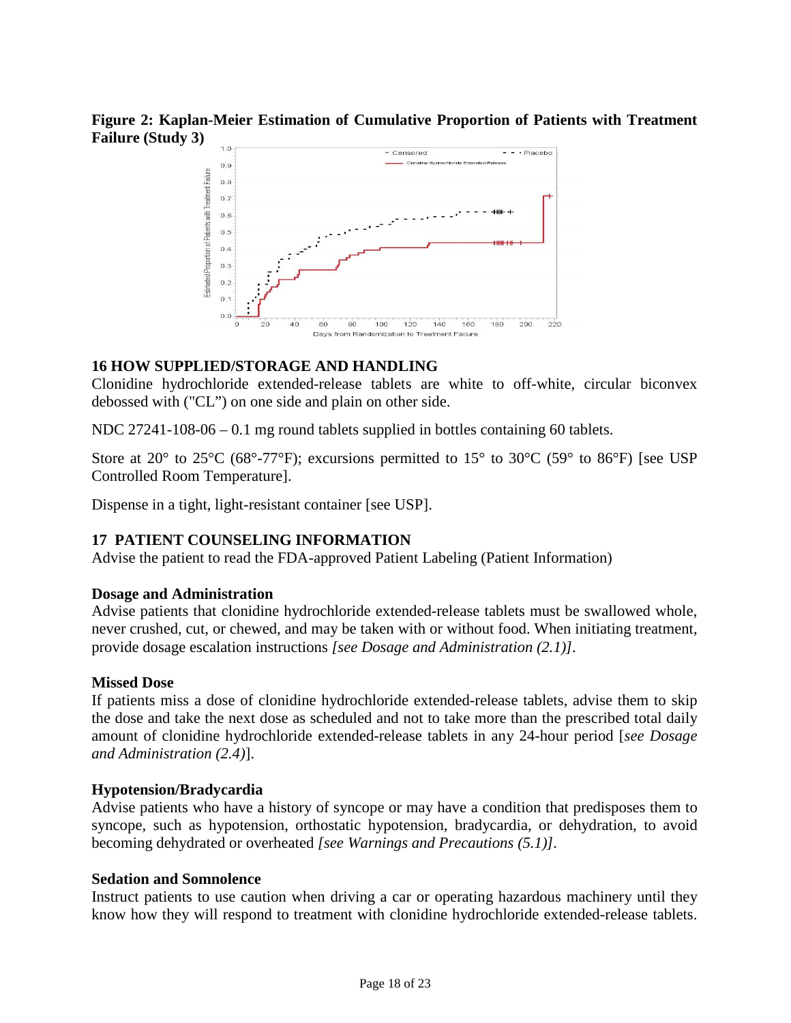<span id="page-17-2"></span>**Figure 2: Kaplan-Meier Estimation of Cumulative Proportion of Patients with Treatment Failure (Study 3)**



## <span id="page-17-1"></span>**16 HOW SUPPLIED/STORAGE AND HANDLING**

Clonidine hydrochloride extended-release tablets are white to off-white, circular biconvex debossed with ("CL") on one side and plain on other side.

NDC 27241-108-06 – 0.1 mg round tablets supplied in bottles containing 60 tablets.

Store at 20 $^{\circ}$  to 25 $^{\circ}$ C (68 $^{\circ}$ -77 $^{\circ}$ F); excursions permitted to 15 $^{\circ}$  to 30 $^{\circ}$ C (59 $^{\circ}$  to 86 $^{\circ}$ F) [see USP Controlled Room Temperature].

<span id="page-17-0"></span>Dispense in a tight, light-resistant container [see USP].

### **17 PATIENT COUNSELING INFORMATION**

Advise the patient to read the FDA-approved Patient Labeling (Patient Information)

### **Dosage and Administration**

Advise patients that clonidine hydrochloride extended-release tablets must be swallowed whole, never crushed, cut, or chewed, and may be taken with or without food. When initiating treatment, provide dosage escalation instructions *[see Dosage and Administration [\(2.1\)\]](#page-1-2).* 

### **Missed Dose**

If patients miss a dose of clonidine hydrochloride extended-release tablets, advise them to skip the dose and take the next dose as scheduled and not to take more than the prescribed total daily amount of clonidine hydrochloride extended-release tablets in any 24-hour period [*see Dosage and Administration [\(2.4\)](#page-2-4)*].

### **Hypotension/Bradycardia**

Advise patients who have a history of syncope or may have a condition that predisposes them to syncope, such as hypotension, orthostatic hypotension, bradycardia, or dehydration, to avoid becoming dehydrated or overheated *[see Warnings and Precautions [\(5.1\)\]](#page-2-2).* 

#### **Sedation and Somnolence**

Instruct patients to use caution when driving a car or operating hazardous machinery until they know how they will respond to treatment with clonidine hydrochloride extended-release tablets.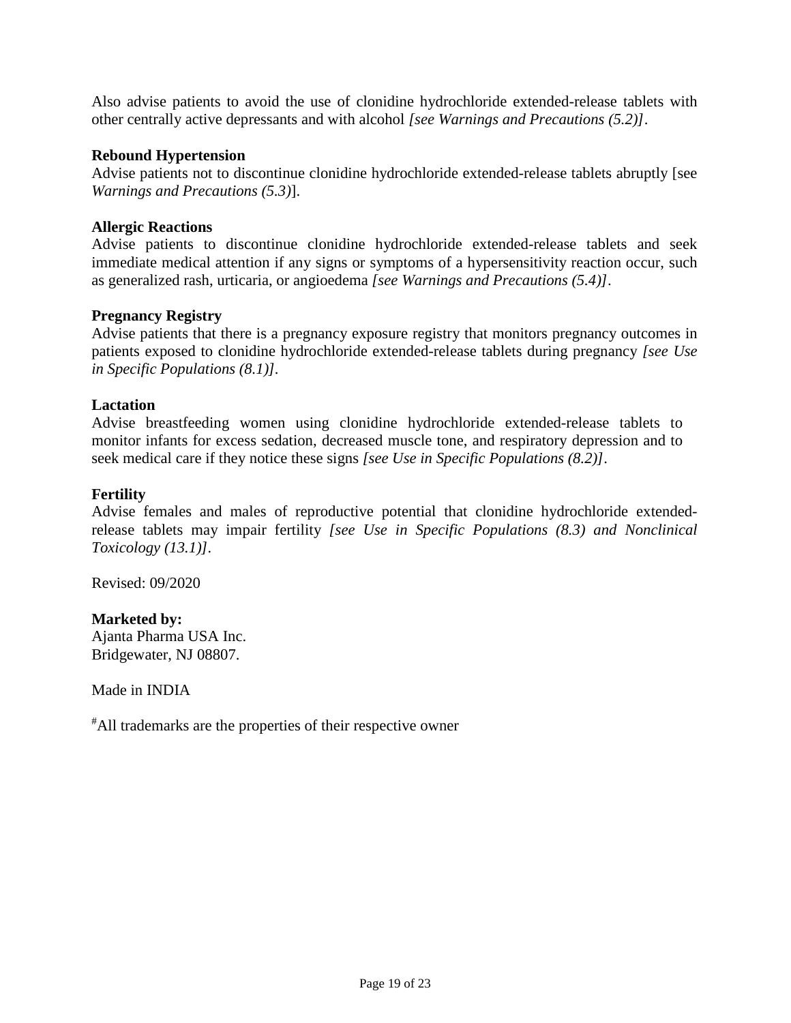Also advise patients to avoid the use of clonidine hydrochloride extended-release tablets with other centrally active depressants and with alcohol *[see Warnings and Precautions [\(5.2\)\]](#page-2-3)*.

### **Rebound Hypertension**

Advise patients not to discontinue clonidine hydrochloride extended-release tablets abruptly [see *Warnings and Precautions [\(5.3\)](#page-3-1)*].

#### **Allergic Reactions**

Advise patients to discontinue clonidine hydrochloride extended-release tablets and seek immediate medical attention if any signs or symptoms of a hypersensitivity reaction occur, such as generalized rash, urticaria, or angioedema *[see Warnings and Precautions [\(5.4\)\]](#page-3-2)*.

#### **Pregnancy Registry**

Advise patients that there is a pregnancy exposure registry that monitors pregnancy outcomes in patients exposed to clonidine hydrochloride extended-release tablets during pregnancy *[see Use in Specific Populations [\(8.1\)\]](#page-8-3).* 

#### **Lactation**

Advise breastfeeding women using clonidine hydrochloride extended-release tablets to monitor infants for excess sedation, decreased muscle tone, and respiratory depression and to seek medical care if they notice these signs *[see Use in Specific Populations [\(8.2\)\]](#page-9-0)*.

#### **Fertility**

Advise females and males of reproductive potential that clonidine hydrochloride extendedrelease tablets may impair fertility *[see Use in Specific Populations [\(8.3\)](#page-10-0) and Nonclinical Toxicology [\(13.1\)\]](#page-14-1).*

Revised: 09/2020

# **Marketed by:**

Ajanta Pharma USA Inc. Bridgewater, NJ 08807.

Made in INDIA

# All trademarks are the properties of their respective owner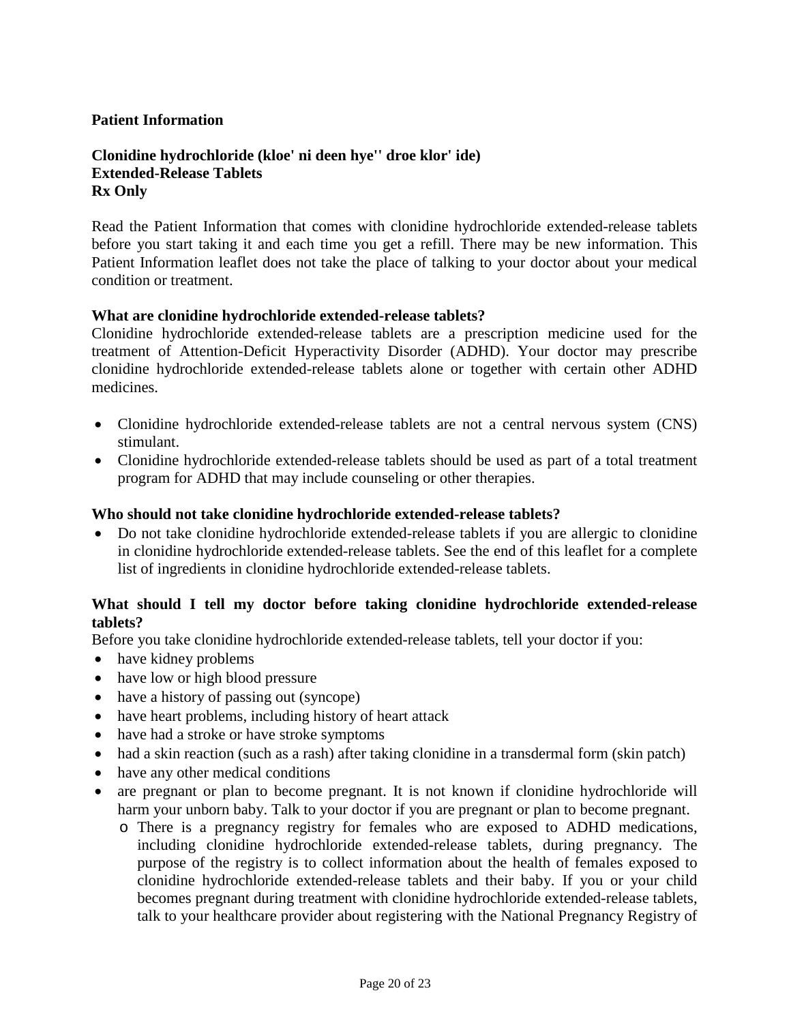## **Patient Information**

## **Clonidine hydrochloride (kloe' ni deen hye'' droe klor' ide) Extended-Release Tablets Rx Only**

Read the Patient Information that comes with clonidine hydrochloride extended-release tablets before you start taking it and each time you get a refill. There may be new information. This Patient Information leaflet does not take the place of talking to your doctor about your medical condition or treatment.

### **What are clonidine hydrochloride extended-release tablets?**

Clonidine hydrochloride extended-release tablets are a prescription medicine used for the treatment of Attention-Deficit Hyperactivity Disorder (ADHD). Your doctor may prescribe clonidine hydrochloride extended-release tablets alone or together with certain other ADHD medicines.

- Clonidine hydrochloride extended-release tablets are not a central nervous system (CNS) stimulant.
- Clonidine hydrochloride extended-release tablets should be used as part of a total treatment program for ADHD that may include counseling or other therapies.

#### **Who should not take clonidine hydrochloride extended-release tablets?**

• Do not take clonidine hydrochloride extended-release tablets if you are allergic to clonidine in clonidine hydrochloride extended-release tablets. See the end of this leaflet for a complete list of ingredients in clonidine hydrochloride extended-release tablets.

## **What should I tell my doctor before taking clonidine hydrochloride extended-release tablets?**

Before you take clonidine hydrochloride extended-release tablets, tell your doctor if you:

- have kidney problems
- have low or high blood pressure
- have a history of passing out (syncope)
- have heart problems, including history of heart attack
- have had a stroke or have stroke symptoms
- had a skin reaction (such as a rash) after taking clonidine in a transdermal form (skin patch)
- have any other medical conditions
- are pregnant or plan to become pregnant. It is not known if clonidine hydrochloride will harm your unborn baby. Talk to your doctor if you are pregnant or plan to become pregnant.
	- o There is a pregnancy registry for females who are exposed to ADHD medications, including clonidine hydrochloride extended-release tablets, during pregnancy. The purpose of the registry is to collect information about the health of females exposed to clonidine hydrochloride extended-release tablets and their baby. If you or your child becomes pregnant during treatment with clonidine hydrochloride extended-release tablets, talk to your healthcare provider about registering with the National Pregnancy Registry of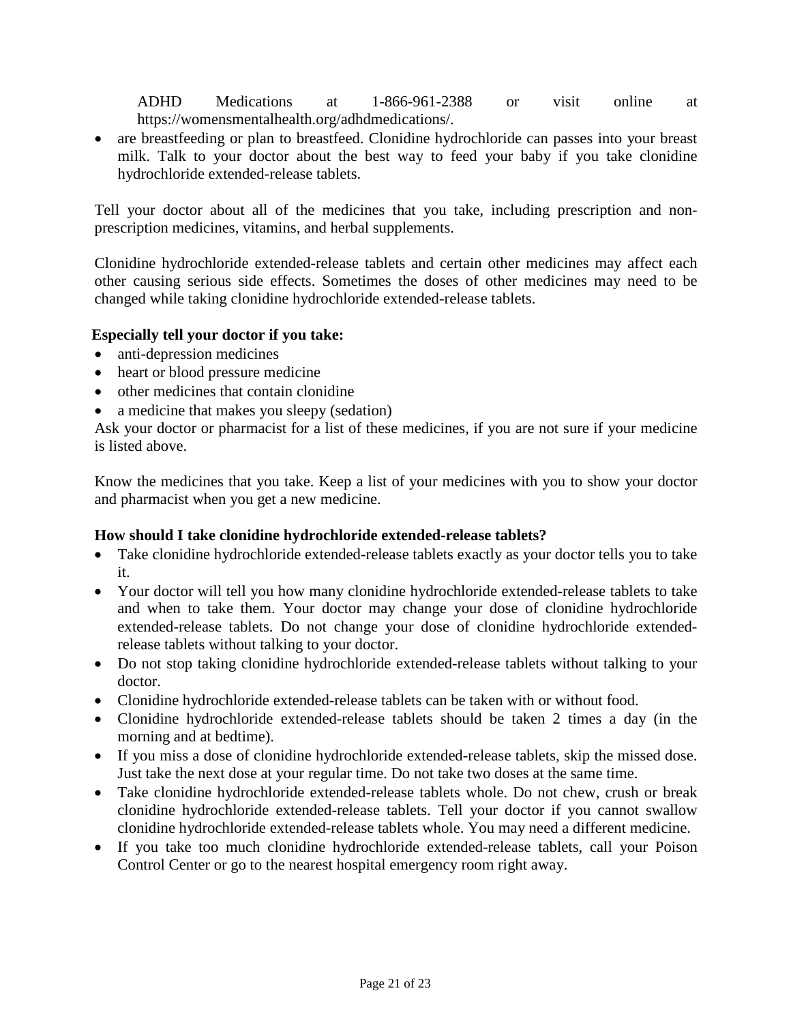ADHD Medications at 1-866-961-2388 or visit online at https://womensmentalhealth.org/adhdmedications/.

• are breastfeeding or plan to breastfeed. Clonidine hydrochloride can passes into your breast milk. Talk to your doctor about the best way to feed your baby if you take clonidine hydrochloride extended-release tablets.

Tell your doctor about all of the medicines that you take, including prescription and nonprescription medicines, vitamins, and herbal supplements.

Clonidine hydrochloride extended-release tablets and certain other medicines may affect each other causing serious side effects. Sometimes the doses of other medicines may need to be changed while taking clonidine hydrochloride extended-release tablets.

## **Especially tell your doctor if you take:**

- anti-depression medicines
- heart or blood pressure medicine
- other medicines that contain clonidine
- a medicine that makes you sleepy (sedation)

Ask your doctor or pharmacist for a list of these medicines, if you are not sure if your medicine is listed above.

Know the medicines that you take. Keep a list of your medicines with you to show your doctor and pharmacist when you get a new medicine.

# **How should I take clonidine hydrochloride extended-release tablets?**

- Take clonidine hydrochloride extended-release tablets exactly as your doctor tells you to take it.
- Your doctor will tell you how many clonidine hydrochloride extended-release tablets to take and when to take them. Your doctor may change your dose of clonidine hydrochloride extended-release tablets. Do not change your dose of clonidine hydrochloride extendedrelease tablets without talking to your doctor.
- Do not stop taking clonidine hydrochloride extended-release tablets without talking to your doctor.
- Clonidine hydrochloride extended-release tablets can be taken with or without food.
- Clonidine hydrochloride extended-release tablets should be taken 2 times a day (in the morning and at bedtime).
- If you miss a dose of clonidine hydrochloride extended-release tablets, skip the missed dose. Just take the next dose at your regular time. Do not take two doses at the same time.
- Take clonidine hydrochloride extended-release tablets whole. Do not chew, crush or break clonidine hydrochloride extended-release tablets. Tell your doctor if you cannot swallow clonidine hydrochloride extended-release tablets whole. You may need a different medicine.
- If you take too much clonidine hydrochloride extended-release tablets, call your Poison Control Center or go to the nearest hospital emergency room right away.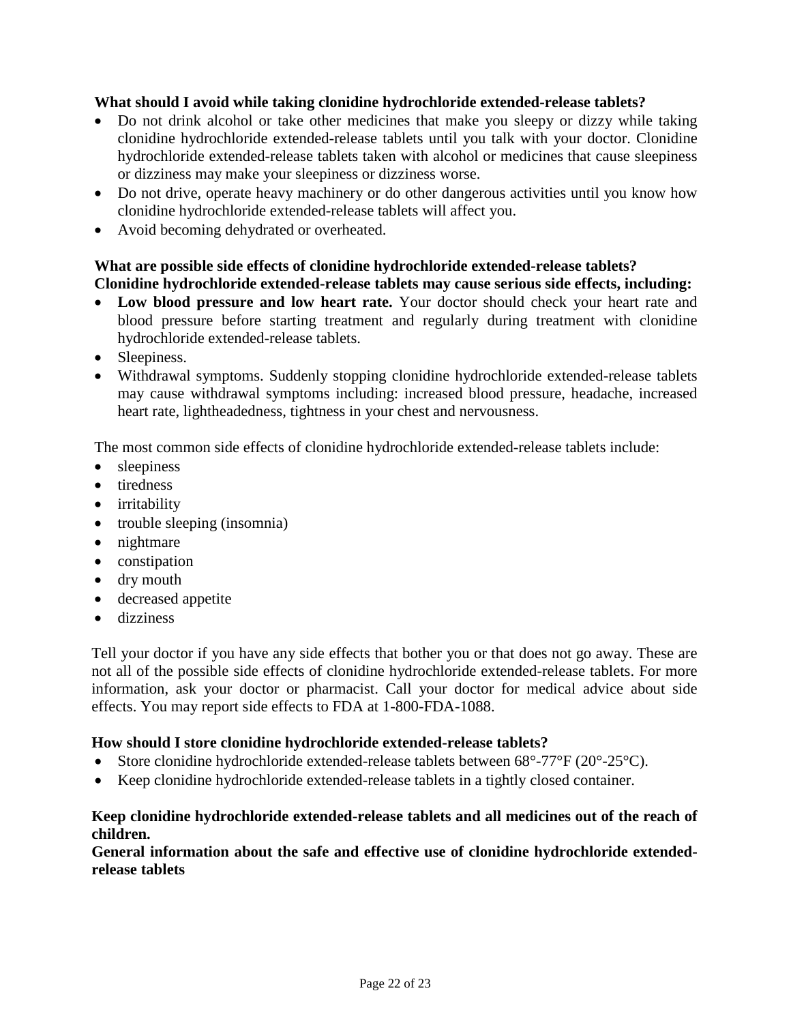## **What should I avoid while taking clonidine hydrochloride extended-release tablets?**

- Do not drink alcohol or take other medicines that make you sleepy or dizzy while taking clonidine hydrochloride extended-release tablets until you talk with your doctor. Clonidine hydrochloride extended-release tablets taken with alcohol or medicines that cause sleepiness or dizziness may make your sleepiness or dizziness worse.
- Do not drive, operate heavy machinery or do other dangerous activities until you know how clonidine hydrochloride extended-release tablets will affect you.
- Avoid becoming dehydrated or overheated.

# **What are possible side effects of clonidine hydrochloride extended-release tablets? Clonidine hydrochloride extended-release tablets may cause serious side effects, including:**

- **Low blood pressure and low heart rate.** Your doctor should check your heart rate and blood pressure before starting treatment and regularly during treatment with clonidine hydrochloride extended-release tablets.
- Sleepiness.
- Withdrawal symptoms. Suddenly stopping clonidine hydrochloride extended-release tablets may cause withdrawal symptoms including: increased blood pressure, headache, increased heart rate, lightheadedness, tightness in your chest and nervousness.

The most common side effects of clonidine hydrochloride extended-release tablets include:

- sleepiness
- tiredness
- irritability
- trouble sleeping (insomnia)
- nightmare
- constipation
- dry mouth
- decreased appetite
- dizziness

Tell your doctor if you have any side effects that bother you or that does not go away. These are not all of the possible side effects of clonidine hydrochloride extended-release tablets. For more information, ask your doctor or pharmacist. Call your doctor for medical advice about side effects. You may report side effects to FDA at 1-800-FDA-1088.

# **How should I store clonidine hydrochloride extended-release tablets?**

- Store clonidine hydrochloride extended-release tablets between 68°-77°F (20°-25°C).
- Keep clonidine hydrochloride extended-release tablets in a tightly closed container.

# **Keep clonidine hydrochloride extended-release tablets and all medicines out of the reach of children.**

## **General information about the safe and effective use of clonidine hydrochloride extendedrelease tablets**